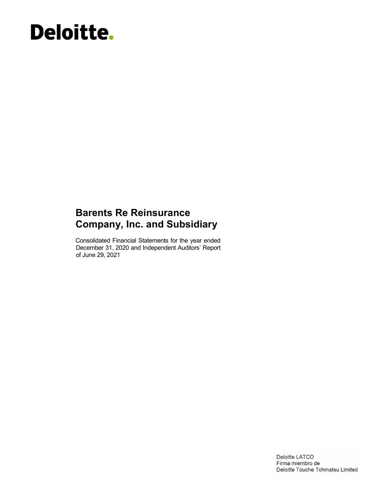## **Deloitte.**

## **Barents Re Reinsurance Company, Inc. and Subsidiary**

Consolidated Financial Statements for the year ended December 31, 2020 and Independent Auditors' Report of June 29, 2021

> **Deloitte LATCO** Firma miembro de Deloitte Touche Tohmatsu Limited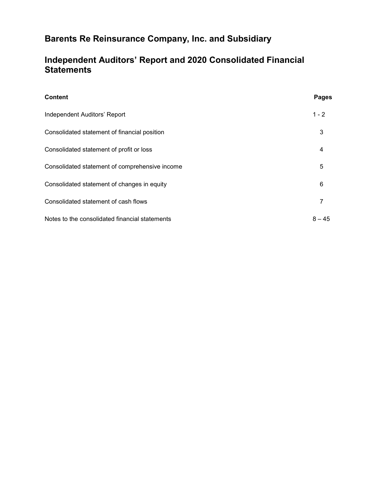## **Independent Auditors' Report and 2020 Consolidated Financial Statements**

| <b>Content</b>                                 | <b>Pages</b> |
|------------------------------------------------|--------------|
| Independent Auditors' Report                   | $1 - 2$      |
| Consolidated statement of financial position   | 3            |
| Consolidated statement of profit or loss       | 4            |
| Consolidated statement of comprehensive income | 5            |
| Consolidated statement of changes in equity    | 6            |
| Consolidated statement of cash flows           | 7            |
| Notes to the consolidated financial statements | $8 - 45$     |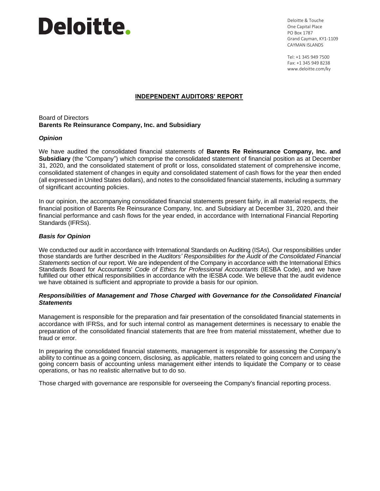# Deloitte.

Deloitte & Touche One Capital Place PO Box 1787 Grand Cayman, KY1-1109 CAYMAN ISLANDS

Tel: +1 345 949 7500 Fax: +1 345 949 8238 www.deloitte.com/ky

#### **INDEPENDENT AUDITORS' REPORT**

#### Board of Directors **Barents Re Reinsurance Company, Inc. and Subsidiary**

#### *Opinion*

We have audited the consolidated financial statements of **Barents Re Reinsurance Company, Inc. and Subsidiary** (the "Company") which comprise the consolidated statement of financial position as at December 31, 2020, and the consolidated statement of profit or loss, consolidated statement of comprehensive income, consolidated statement of changes in equity and consolidated statement of cash flows for the year then ended (all expressed in United States dollars), and notes to the consolidated financial statements, including a summary of significant accounting policies.

In our opinion, the accompanying consolidated financial statements present fairly, in all material respects, the financial position of Barents Re Reinsurance Company, Inc. and Subsidiary at December 31, 2020, and their financial performance and cash flows for the year ended, in accordance with International Financial Reporting Standards (IFRSs).

#### *Basis for Opinion*

We conducted our audit in accordance with International Standards on Auditing (ISAs). Our responsibilities under those standards are further described in the *Auditors' Responsibilities for the Audit of the Consolidated Financial Statements* section of our report. We are independent of the Company in accordance with the International Ethics Standards Board for Accountants' *Code of Ethics for Professional Accountants* (IESBA Code), and we have fulfilled our other ethical responsibilities in accordance with the IESBA code. We believe that the audit evidence we have obtained is sufficient and appropriate to provide a basis for our opinion.

#### *Responsibilities of Management and Those Charged with Governance for the Consolidated Financial Statements*

Management is responsible for the preparation and fair presentation of the consolidated financial statements in accordance with IFRSs, and for such internal control as management determines is necessary to enable the preparation of the consolidated financial statements that are free from material misstatement, whether due to fraud or error.

In preparing the consolidated financial statements, management is responsible for assessing the Company's ability to continue as a going concern, disclosing, as applicable, matters related to going concern and using the going concern basis of accounting unless management either intends to liquidate the Company or to cease operations, or has no realistic alternative but to do so.

Those charged with governance are responsible for overseeing the Company's financial reporting process.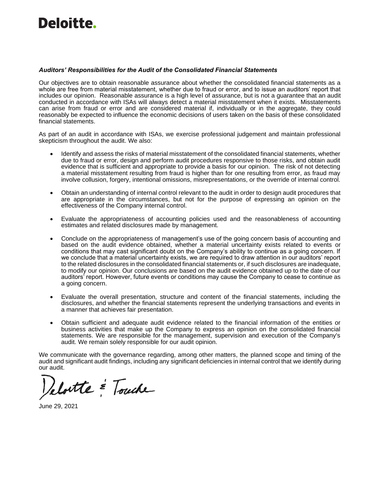## Deloitte.

#### *Auditors' Responsibilities for the Audit of the Consolidated Financial Statements*

Our objectives are to obtain reasonable assurance about whether the consolidated financial statements as a whole are free from material misstatement, whether due to fraud or error, and to issue an auditors' report that includes our opinion. Reasonable assurance is a high level of assurance, but is not a guarantee that an audit conducted in accordance with ISAs will always detect a material misstatement when it exists. Misstatements can arise from fraud or error and are considered material if, individually or in the aggregate, they could reasonably be expected to influence the economic decisions of users taken on the basis of these consolidated financial statements.

As part of an audit in accordance with ISAs, we exercise professional judgement and maintain professional skepticism throughout the audit. We also:

- Identify and assess the risks of material misstatement of the consolidated financial statements, whether due to fraud or error, design and perform audit procedures responsive to those risks, and obtain audit evidence that is sufficient and appropriate to provide a basis for our opinion. The risk of not detecting a material misstatement resulting from fraud is higher than for one resulting from error, as fraud may involve collusion, forgery, intentional omissions, misrepresentations, or the override of internal control.
- Obtain an understanding of internal control relevant to the audit in order to design audit procedures that are appropriate in the circumstances, but not for the purpose of expressing an opinion on the effectiveness of the Company internal control.
- Evaluate the appropriateness of accounting policies used and the reasonableness of accounting estimates and related disclosures made by management.
- Conclude on the appropriateness of management's use of the going concern basis of accounting and based on the audit evidence obtained, whether a material uncertainty exists related to events or conditions that may cast significant doubt on the Company's ability to continue as a going concern. If we conclude that a material uncertainty exists, we are required to draw attention in our auditors' report to the related disclosures in the consolidated financial statements or, if such disclosures are inadequate, to modify our opinion. Our conclusions are based on the audit evidence obtained up to the date of our auditors' report. However, future events or conditions may cause the Company to cease to continue as a going concern.
- Evaluate the overall presentation, structure and content of the financial statements, including the disclosures, and whether the financial statements represent the underlying transactions and events in a manner that achieves fair presentation.
- Obtain sufficient and adequate audit evidence related to the financial information of the entities or business activities that make up the Company to express an opinion on the consolidated financial statements. We are responsible for the management, supervision and execution of the Company's audit. We remain solely responsible for our audit opinion.

We communicate with the governance regarding, among other matters, the planned scope and timing of the audit and significant audit findings, including any significant deficiencies in internal control that we identify during our audit.

eloitte = Touche

June 29, 2021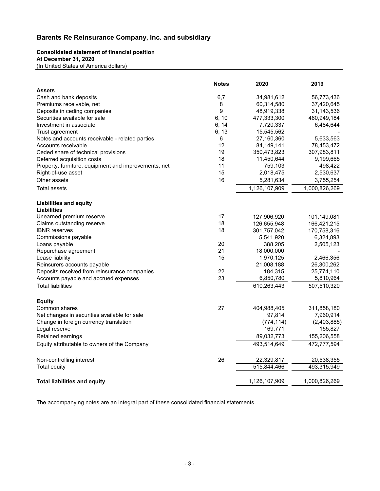#### **Consolidated statement of financial position**

**At December 31, 2020**

(In United States of America dollars)

|                                                                             | <b>Notes</b> | 2020          | 2019                    |
|-----------------------------------------------------------------------------|--------------|---------------|-------------------------|
| <b>Assets</b>                                                               |              |               |                         |
| Cash and bank deposits                                                      | 6,7          | 34,981,612    | 56,773,436              |
| Premiums receivable, net                                                    | 8            | 60,314,580    | 37,420,645              |
| Deposits in ceding companies                                                | 9            | 48,919,338    | 31,143,536              |
| Securities available for sale                                               | 6, 10        | 477,333,300   | 460,949,184             |
| Investment in associate                                                     | 6, 14        | 7,720,337     | 6,484,644               |
| Trust agreement                                                             | 6, 13        | 15,545,562    |                         |
| Notes and accounts receivable - related parties                             | 6            | 27,160,360    | 5,633,563               |
| Accounts receivable                                                         | 12           | 84,149,141    | 78,453,472              |
| Ceded share of technical provisions                                         | 19           | 350,473,823   | 307,983,811             |
| Deferred acquisition costs                                                  | 18           | 11,450,644    | 9,199,665               |
| Property, furniture, equipment and improvements, net                        | 11           | 759,103       | 498,422                 |
| Right-of-use asset                                                          | 15           | 2,018,475     | 2,530,637               |
| Other assets                                                                | 16           | 5,281,634     | 3,755,254               |
| Total assets                                                                |              | 1,126,107,909 | 1,000,826,269           |
|                                                                             |              |               |                         |
| <b>Liabilities and equity</b>                                               |              |               |                         |
| <b>Liabilities</b>                                                          |              |               |                         |
| Unearned premium reserve                                                    | 17           | 127,906,920   | 101,149,081             |
| Claims outstanding reserve                                                  | 18           | 126,655,948   | 166,421,215             |
| <b>IBNR</b> reserves                                                        | 18           | 301,757,042   | 170,758,316             |
| Commissions payable                                                         | 20           | 5,541,920     | 6,324,893               |
| Loans payable                                                               | 21           | 388,205       | 2,505,123               |
| Repurchase agreement                                                        | 15           | 18,000,000    |                         |
| Lease liability                                                             |              | 1,970,125     | 2,466,356               |
| Reinsurers accounts payable<br>Deposits received from reinsurance companies | 22           | 21,008,188    | 26,300,262              |
|                                                                             | 23           | 184,315       | 25,774,110<br>5,810,964 |
| Accounts payable and accrued expenses                                       |              | 6,850,780     |                         |
| <b>Total liabilities</b>                                                    |              | 610,263,443   | 507,510,320             |
| <b>Equity</b>                                                               |              |               |                         |
| Common shares                                                               | 27           | 404,988,405   | 311,858,180             |
| Net changes in securities available for sale                                |              | 97,814        | 7,960,914               |
| Change in foreign currency translation                                      |              | (774, 114)    | (2,403,885)             |
| Legal reserve                                                               |              | 169,771       | 155,827                 |
| Retained earnings                                                           |              | 89,032,773    | 155,206,558             |
| Equity attributable to owners of the Company                                |              | 493,514,649   | 472,777,594             |
|                                                                             |              |               |                         |
| Non-controlling interest                                                    | 26           | 22,329,817    | 20,538,355              |
| <b>Total equity</b>                                                         |              | 515,844,466   | 493,315,949             |
| <b>Total liabilities and equity</b>                                         |              | 1,126,107,909 | 1,000,826,269           |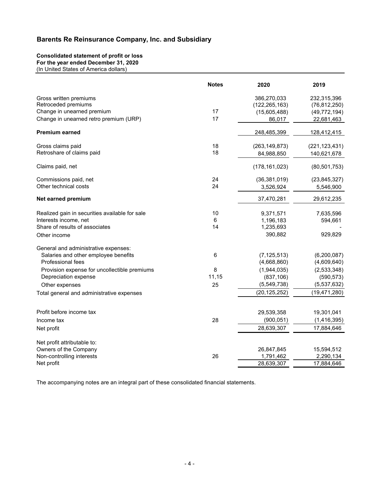## **Consolidated statement of profit or loss**

**For the year ended December 31, 2020**

(In United States of America dollars)

|                                                                                                                                                                                                                                          | <b>Notes</b>          | 2020                                                                                       | 2019                                                                                     |
|------------------------------------------------------------------------------------------------------------------------------------------------------------------------------------------------------------------------------------------|-----------------------|--------------------------------------------------------------------------------------------|------------------------------------------------------------------------------------------|
| Gross written premiums<br>Retroceded premiums<br>Change in unearned premium<br>Change in unearned retro premium (URP)                                                                                                                    | 17<br>17              | 386,270,033<br>(122, 265, 163)<br>(15,605,488)<br>86,017                                   | 232,315,396<br>(76, 812, 250)<br>(49, 772, 194)<br>22,681,463                            |
| <b>Premium earned</b>                                                                                                                                                                                                                    |                       | 248,485,399                                                                                | 128,412,415                                                                              |
| Gross claims paid<br>Retroshare of claims paid                                                                                                                                                                                           | 18<br>18              | (263, 149, 873)<br>84,988,850                                                              | (221, 123, 431)<br>140,621,678                                                           |
| Claims paid, net                                                                                                                                                                                                                         |                       | (178, 161, 023)                                                                            | (80, 501, 753)                                                                           |
| Commissions paid, net<br>Other technical costs                                                                                                                                                                                           | 24<br>24              | (36, 381, 019)<br>3,526,924                                                                | (23, 845, 327)<br>5,546,900                                                              |
| Net earned premium                                                                                                                                                                                                                       |                       | 37,470,281                                                                                 | 29,612,235                                                                               |
| Realized gain in securities available for sale<br>Interests income, net<br>Share of results of associates<br>Other income                                                                                                                | 10<br>6<br>14         | 9,371,571<br>1,196,183<br>1,235,693<br>390,882                                             | 7,635,596<br>594,661<br>929,829                                                          |
| General and administrative expenses:<br>Salaries and other employee benefits<br>Professional fees<br>Provision expense for uncollectible premiums<br>Depreciation expense<br>Other expenses<br>Total general and administrative expenses | 6<br>8<br>11,15<br>25 | (7, 125, 513)<br>(4,668,860)<br>(1,944,035)<br>(837, 106)<br>(5,549,738)<br>(20, 125, 252) | (6,200,087)<br>(4,609,640)<br>(2,533,348)<br>(590, 573)<br>(5,537,632)<br>(19, 471, 280) |
| Profit before income tax<br>Income tax<br>Net profit                                                                                                                                                                                     | 28                    | 29,539,358<br>(900, 051)<br>28,639,307                                                     | 19,301,041<br>(1,416,395)<br>17,884,646                                                  |
| Net profit attributable to:<br>Owners of the Company<br>Non-controlling interests<br>Net profit                                                                                                                                          | 26                    | 26,847,845<br>1,791,462<br>28,639,307                                                      | 15,594,512<br>2,290,134<br>17,884,646                                                    |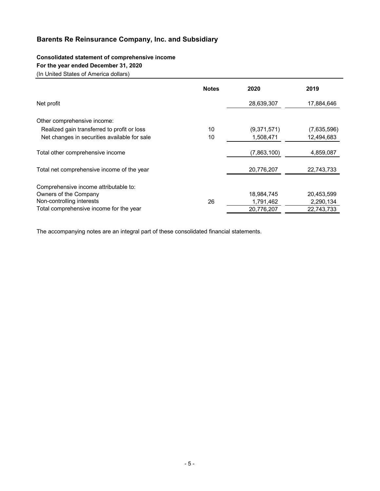## **Consolidated statement of comprehensive income**

## **For the year ended December 31, 2020**

(In United States of America dollars)

|                                              | <b>Notes</b> | 2020        | 2019        |
|----------------------------------------------|--------------|-------------|-------------|
| Net profit                                   |              | 28,639,307  | 17,884,646  |
| Other comprehensive income:                  |              |             |             |
| Realized gain transferred to profit or loss  | 10           | (9,371,571) | (7,635,596) |
| Net changes in securities available for sale | 10           | 1,508,471   | 12,494,683  |
| Total other comprehensive income             |              | (7,863,100) | 4,859,087   |
| Total net comprehensive income of the year   |              | 20,776,207  | 22,743,733  |
| Comprehensive income attributable to:        |              |             |             |
| Owners of the Company                        |              | 18,984,745  | 20,453,599  |
| Non-controlling interests                    | 26           | 1,791,462   | 2,290,134   |
| Total comprehensive income for the year      |              | 20,776,207  | 22,743,733  |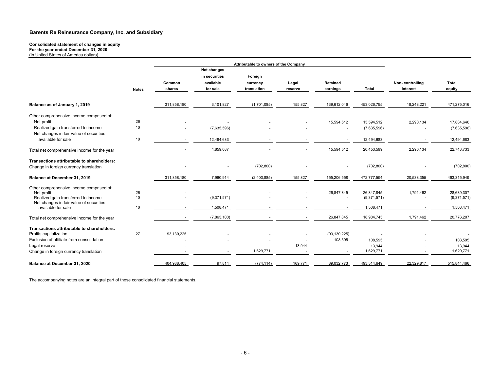#### **Consolidated statement of changes in equity**

**For the year ended December 31, 2020** (In United States of America dollars)

|                                                                                                                                                                              |                | Attributable to owners of the Company |                                                       |                                    |                  |                           |                                        |                             |                                        |
|------------------------------------------------------------------------------------------------------------------------------------------------------------------------------|----------------|---------------------------------------|-------------------------------------------------------|------------------------------------|------------------|---------------------------|----------------------------------------|-----------------------------|----------------------------------------|
|                                                                                                                                                                              | <b>Notes</b>   | Common<br>shares                      | Net changes<br>in securities<br>available<br>for sale | Foreign<br>currency<br>translation | Legal<br>reserve | Retained<br>earnings      | <b>Total</b>                           | Non-controlling<br>interest | <b>Total</b><br>equity                 |
| Balance as of January 1, 2019                                                                                                                                                |                | 311,858,180                           | 3,101,827                                             | (1,701,085)                        | 155,827          | 139,612,046               | 453,026,795                            | 18,248,221                  | 471,275,016                            |
| Other comprehensive income comprised of:<br>Net profit<br>Realized gain transferred to income                                                                                | 26<br>10       |                                       | (7,635,596)                                           |                                    |                  | 15,594,512                | 15,594,512<br>(7,635,596)              | 2,290,134                   | 17,884,646<br>(7,635,596)              |
| Net changes in fair value of securities<br>available for sale                                                                                                                | 10             |                                       | 12,494,683                                            |                                    |                  |                           | 12,494,683                             |                             | 12,494,683                             |
| Total net comprehensive income for the year                                                                                                                                  |                |                                       | 4,859,087                                             |                                    |                  | 15,594,512                | 20,453,599                             | 2,290,134                   | 22,743,733                             |
| Transactions attributable to shareholders:<br>Change in foreign currency translation                                                                                         |                |                                       |                                                       | (702, 800)                         |                  |                           | (702, 800)                             |                             | (702, 800)                             |
| Balance at December 31, 2019                                                                                                                                                 |                | 311,858,180                           | 7,960,914                                             | (2,403,885)                        | 155,827          | 155,206,558               | 472,777,594                            | 20,538,355                  | 493,315,949                            |
| Other comprehensive income comprised of:<br>Net profit<br>Realized gain transferred to income<br>Net changes in fair value of securities<br>available for sale               | 26<br>10<br>10 |                                       | (9,371,571)<br>1,508,471                              |                                    |                  | 26,847,845                | 26,847,845<br>(9,371,571)<br>1,508,471 | 1,791,462                   | 28,639,307<br>(9,371,571)<br>1,508,471 |
| Total net comprehensive income for the year                                                                                                                                  |                |                                       | (7,863,100)                                           |                                    |                  | 26,847,845                | 18,984,745                             | 1,791,462                   | 20,776,207                             |
| Transactions attributable to shareholders:<br>Profits capitalization<br>Exclusion of affiliate from consolidation<br>Legal reserve<br>Change in foreign currency translation | 27             | 93,130,225                            |                                                       | 1,629,771                          | 13,944           | (93, 130, 225)<br>108,595 | 108,595<br>13,944<br>1,629,771         |                             | 108,595<br>13,944<br>1,629,771         |
| Balance at December 31, 2020                                                                                                                                                 |                | 404,988,405                           | 97,814                                                | (774, 114)                         | 169,771          | 89.032.773                | 493,514,649                            | 22,329,817                  | 515,844,466                            |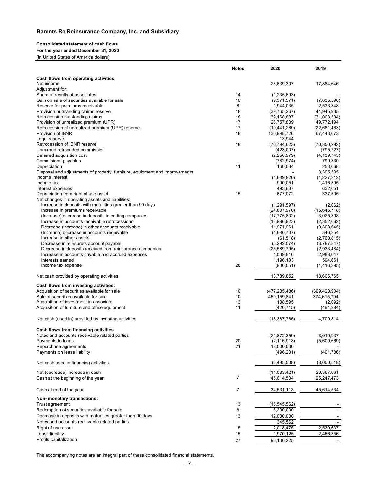#### **Consolidated statement of cash flows For the year ended December 31, 2020** (In United States of America dollars)

|                                                                                           | <b>Notes</b> | 2020                          | 2019                       |
|-------------------------------------------------------------------------------------------|--------------|-------------------------------|----------------------------|
| Cash flows from operating activities:                                                     |              |                               |                            |
| Net income                                                                                |              | 28,639,307                    | 17,884,646                 |
| Adjustment for:                                                                           |              |                               |                            |
| Share of results of associates                                                            | 14           | (1,235,693)                   |                            |
| Gain on sale of securities available for sale                                             | 10           | (9,371,571)                   | (7,635,596)                |
| Reserve for premiums receivable                                                           | 8            | 1,944,035                     | 2,533,348                  |
| Provision outstanding claims reserve                                                      | 18           | (39, 765, 267)                | 44,945,935                 |
| Retrocession outstanding claims                                                           | 18           | 39,168,887                    | (31,063,584)               |
| Provision of unrealized premium (UPR)<br>Retrocession of unrealized premium (UPR) reserve | 17<br>17     | 26,757,839                    | 49,772,194<br>(22,681,463) |
| Provision of IBNR                                                                         | 18           | (10, 441, 269)<br>130,998,726 | 67,443,073                 |
| Legal reserve                                                                             |              | 13,944                        |                            |
| Retrocession of IBNR reserve                                                              | 18           | (70, 794, 623)                | (70, 850, 292)             |
| Unearned retroceded commission                                                            |              | (423,007)                     | (795, 727)                 |
| Deferred adquisition cost                                                                 |              | (2,250,979)                   | (4, 139, 743)              |
| Commisions payables                                                                       |              | (782,974)                     | 790,330                    |
| Depreciation                                                                              | 11           | 160,034                       | 253,068                    |
| Disposal and adjustments of property, furniture, equipment and improvements               |              |                               | 3,305,505                  |
| Income interest                                                                           |              | (1,689,820)                   | (1,227,312)                |
| Income tax                                                                                |              | 900,051                       | 1,416,395                  |
| Interest expenses                                                                         |              | 493,637                       | 632,651                    |
| Depreciation from right of use asset<br>Net changes in operating assets and liabilities:  | 15           | 677,072                       | 337,505                    |
| Increase in deposits with maturities greater than 90 days                                 |              | (1, 291, 597)                 | (2,062)                    |
| Increase in premiums receivable                                                           |              | (24, 837, 970)                | (16, 646, 718)             |
| (Increase) decrease in deposits in ceding companies                                       |              | (17, 775, 802)                | 3,025,398                  |
| Increase in accounts receivable retrocessions                                             |              | (12,986,923)                  | (2,352,662)                |
| Decrease (increase) in other accounts receivable                                          |              | 11,971,961                    | (9,308,645)                |
| (Increase) decrease in accounts receivable                                                |              | (4,680,707)                   | 346,354                    |
| Increase in other assets                                                                  |              | (61, 518)                     | (2,760,815)                |
| Decrease in reinsurers account payable                                                    |              | (5,292,074)                   | (3,787,847)                |
| Decrease in deposits received from reinsurance companies                                  |              | (25, 589, 795)                | (2,933,484)                |
| Increase in accounts payable and accrued expenses                                         |              | 1,039,816                     | 2,988,047                  |
| Interests earned                                                                          |              | 1,196,183                     | 594,661                    |
| Income tax expense                                                                        | 28           | (900, 051)                    | (1,416,395)                |
| Net cash provided by operating activities                                                 |              | 13,789,852                    | 18,666,765                 |
| Cash flows from investing activities:                                                     |              |                               |                            |
| Acquisition of securities available for sale                                              | 10           | (477, 235, 486)               | (369, 420, 904)            |
| Sale of securities available for sale                                                     | 10           | 459,159,841                   | 374,615,794                |
| Acquisition of investment in associate                                                    | 13           | 108,595                       | (2,092)                    |
| Acquisition of furniture and office equipment                                             | 11           | (420, 715)                    | (491, 984)                 |
| Net cash (used in) provided by investing activities                                       |              | (18, 387, 765)                | 4,700,814                  |
| Cash flows from financing activities                                                      |              |                               |                            |
| Notes and accounts receivable related parties                                             |              | (21, 872, 359)                | 3,010,937                  |
| Payments to loans                                                                         | 20           | (2, 116, 918)                 | (5,609,669)                |
| Repurchase agreements                                                                     | 21           | 18,000,000                    |                            |
| Payments on lease liability                                                               |              | (496, 231)                    | (401, 786)                 |
| Net cash used in financing activities                                                     |              | (6,485,508)                   | (3,000,518)                |
| Net (decrease) increase in cash                                                           |              | (11,083,421)                  | 20,367,061                 |
| Cash at the beginning of the year                                                         | 7            | 45,614,534                    | 25,247,473                 |
|                                                                                           |              |                               |                            |
| Cash at end of the year                                                                   | 7            | 34,531,113                    | 45,614,534                 |
| Non- monetary transactions:                                                               |              |                               |                            |
| Trust agreement                                                                           | 13           | (15, 545, 562)                |                            |
| Redemption of securities available for sale                                               | 6            | 3,200,000                     |                            |
| Decrease in deposits with maturities greater than 90 days                                 | 13           | 12,000,000                    |                            |
| Notes and accounts receivable related parties                                             |              | 345,562                       |                            |
| Right of use asset                                                                        | 15           | 2,018,475                     | 2,530,637                  |
| Lease liability                                                                           | 15           | 1,970,125                     | 2,466,356                  |
| Profits capitalization                                                                    | 27           | 93,130,225                    |                            |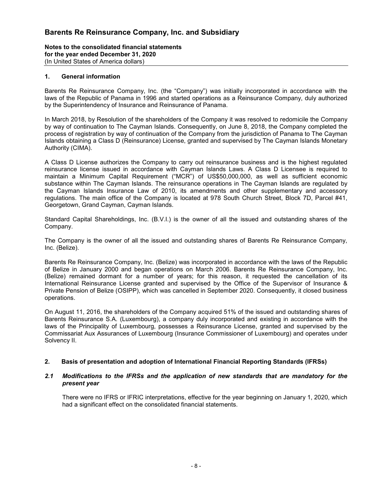#### **Notes to the consolidated financial statements for the year ended December 31, 2020** (In United States of America dollars)

#### **1. General information**

Barents Re Reinsurance Company, Inc. (the "Company") was initially incorporated in accordance with the laws of the Republic of Panama in 1996 and started operations as a Reinsurance Company, duly authorized by the Superintendency of Insurance and Reinsurance of Panama.

In March 2018, by Resolution of the shareholders of the Company it was resolved to redomicile the Company by way of continuation to The Cayman Islands. Consequently, on June 8, 2018, the Company completed the process of registration by way of continuation of the Company from the jurisdiction of Panama to The Cayman Islands obtaining a Class D (Reinsurance) License, granted and supervised by The Cayman Islands Monetary Authority (CIMA).

A Class D License authorizes the Company to carry out reinsurance business and is the highest regulated reinsurance license issued in accordance with Cayman Islands Laws. A Class D Licensee is required to maintain a Minimum Capital Requirement ("MCR") of US\$50,000,000, as well as sufficient economic substance within The Cayman Islands. The reinsurance operations in The Cayman Islands are regulated by the Cayman Islands Insurance Law of 2010, its amendments and other supplementary and accessory regulations. The main office of the Company is located at 978 South Church Street, Block 7D, Parcel #41, Georgetown, Grand Cayman, Cayman Islands.

Standard Capital Shareholdings, Inc. (B.V.I.) is the owner of all the issued and outstanding shares of the Company.

The Company is the owner of all the issued and outstanding shares of Barents Re Reinsurance Company, Inc. (Belize).

Barents Re Reinsurance Company, Inc. (Belize) was incorporated in accordance with the laws of the Republic of Belize in January 2000 and began operations on March 2006. Barents Re Reinsurance Company, Inc. (Belize) remained dormant for a number of years; for this reason, it requested the cancellation of its International Reinsurance License granted and supervised by the Office of the Supervisor of Insurance & Private Pension of Belize (OSIPP), which was cancelled in September 2020. Consequently, it closed business operations.

On August 11, 2016, the shareholders of the Company acquired 51% of the issued and outstanding shares of Barents Reinsurance S.A. (Luxembourg), a company duly incorporated and existing in accordance with the laws of the Principality of Luxembourg, possesses a Reinsurance License, granted and supervised by the Commissariat Aux Assurances of Luxembourg (Insurance Commissioner of Luxembourg) and operates under Solvency II.

#### **2. Basis of presentation and adoption of International Financial Reporting Standards (IFRSs)**

#### *2.1 Modifications to the IFRSs and the application of new standards that are mandatory for the present year*

There were no IFRS or IFRIC interpretations, effective for the year beginning on January 1, 2020, which had a significant effect on the consolidated financial statements.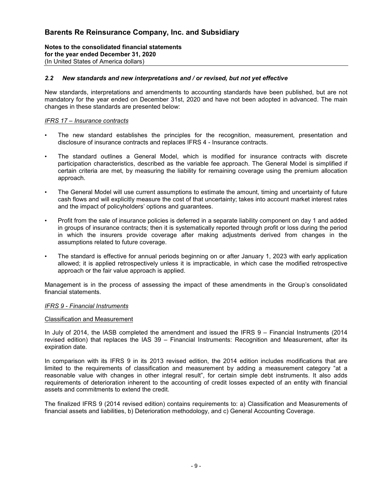**Notes to the consolidated financial statements for the year ended December 31, 2020** (In United States of America dollars)

#### *2.2 New standards and new interpretations and / or revised, but not yet effective*

New standards, interpretations and amendments to accounting standards have been published, but are not mandatory for the year ended on December 31st, 2020 and have not been adopted in advanced. The main changes in these standards are presented below:

#### *IFRS 17 – Insurance contracts*

- The new standard establishes the principles for the recognition, measurement, presentation and disclosure of insurance contracts and replaces IFRS 4 - Insurance contracts.
- The standard outlines a General Model, which is modified for insurance contracts with discrete participation characteristics, described as the variable fee approach. The General Model is simplified if certain criteria are met, by measuring the liability for remaining coverage using the premium allocation approach.
- The General Model will use current assumptions to estimate the amount, timing and uncertainty of future cash flows and will explicitly measure the cost of that uncertainty; takes into account market interest rates and the impact of policyholders' options and guarantees.
- Profit from the sale of insurance policies is deferred in a separate liability component on day 1 and added in groups of insurance contracts; then it is systematically reported through profit or loss during the period in which the insurers provide coverage after making adjustments derived from changes in the assumptions related to future coverage.
- The standard is effective for annual periods beginning on or after January 1, 2023 with early application allowed; it is applied retrospectively unless it is impracticable, in which case the modified retrospective approach or the fair value approach is applied.

Management is in the process of assessing the impact of these amendments in the Group's consolidated financial statements.

#### *IFRS 9 - Financial Instruments*

#### Classification and Measurement

In July of 2014, the IASB completed the amendment and issued the IFRS 9 – Financial Instruments (2014 revised edition) that replaces the IAS 39 – Financial Instruments: Recognition and Measurement, after its expiration date.

In comparison with its IFRS 9 in its 2013 revised edition, the 2014 edition includes modifications that are limited to the requirements of classification and measurement by adding a measurement category "at a reasonable value with changes in other integral result", for certain simple debt instruments. It also adds requirements of deterioration inherent to the accounting of credit losses expected of an entity with financial assets and commitments to extend the credit.

The finalized IFRS 9 (2014 revised edition) contains requirements to: a) Classification and Measurements of financial assets and liabilities, b) Deterioration methodology, and c) General Accounting Coverage.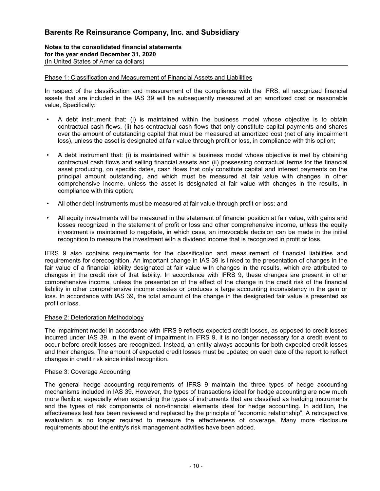#### **Notes to the consolidated financial statements for the year ended December 31, 2020** (In United States of America dollars)

#### Phase 1: Classification and Measurement of Financial Assets and Liabilities

In respect of the classification and measurement of the compliance with the IFRS, all recognized financial assets that are included in the IAS 39 will be subsequently measured at an amortized cost or reasonable value, Specifically:

- A debt instrument that: (i) is maintained within the business model whose objective is to obtain contractual cash flows, (ii) has contractual cash flows that only constitute capital payments and shares over the amount of outstanding capital that must be measured at amortized cost (net of any impairment loss), unless the asset is designated at fair value through profit or loss, in compliance with this option;
- A debt instrument that: (i) is maintained within a business model whose objective is met by obtaining contractual cash flows and selling financial assets and (ii) possessing contractual terms for the financial asset producing, on specific dates, cash flows that only constitute capital and interest payments on the principal amount outstanding, and which must be measured at fair value with changes in other comprehensive income, unless the asset is designated at fair value with changes in the results, in compliance with this option;
- All other debt instruments must be measured at fair value through profit or loss; and
- All equity investments will be measured in the statement of financial position at fair value, with gains and losses recognized in the statement of profit or loss and other comprehensive income, unless the equity investment is maintained to negotiate, in which case, an irrevocable decision can be made in the initial recognition to measure the investment with a dividend income that is recognized in profit or loss.

IFRS 9 also contains requirements for the classification and measurement of financial liabilities and requirements for derecognition. An important change in IAS 39 is linked to the presentation of changes in the fair value of a financial liability designated at fair value with changes in the results, which are attributed to changes in the credit risk of that liability. In accordance with IFRS 9, these changes are present in other comprehensive income, unless the presentation of the effect of the change in the credit risk of the financial liability in other comprehensive income creates or produces a large accounting inconsistency in the gain or loss. In accordance with IAS 39, the total amount of the change in the designated fair value is presented as profit or loss.

#### Phase 2: Deterioration Methodology

The impairment model in accordance with IFRS 9 reflects expected credit losses, as opposed to credit losses incurred under IAS 39. In the event of impairment in IFRS 9, it is no longer necessary for a credit event to occur before credit losses are recognized. Instead, an entity always accounts for both expected credit losses and their changes. The amount of expected credit losses must be updated on each date of the report to reflect changes in credit risk since initial recognition.

#### Phase 3: Coverage Accounting

The general hedge accounting requirements of IFRS 9 maintain the three types of hedge accounting mechanisms included in IAS 39. However, the types of transactions ideal for hedge accounting are now much more flexible, especially when expanding the types of instruments that are classified as hedging instruments and the types of risk components of non-financial elements ideal for hedge accounting. In addition, the effectiveness test has been reviewed and replaced by the principle of "economic relationship". A retrospective evaluation is no longer required to measure the effectiveness of coverage. Many more disclosure requirements about the entity's risk management activities have been added.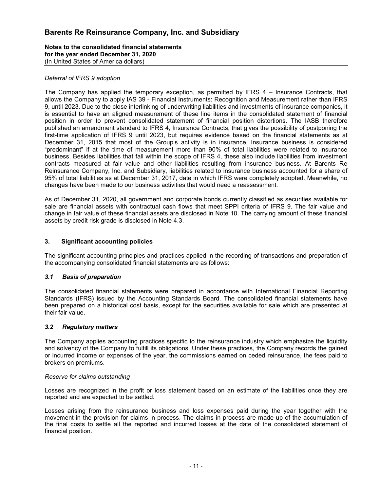#### **Notes to the consolidated financial statements for the year ended December 31, 2020** (In United States of America dollars)

#### *Deferral of IFRS 9 adoption*

The Company has applied the temporary exception, as permitted by IFRS 4 – Insurance Contracts, that allows the Company to apply IAS 39 - Financial Instruments: Recognition and Measurement rather than IFRS 9, until 2023. Due to the close interlinking of underwriting liabilities and investments of insurance companies, it is essential to have an aligned measurement of these line items in the consolidated statement of financial position in order to prevent consolidated statement of financial position distortions. The IASB therefore published an amendment standard to IFRS 4, Insurance Contracts, that gives the possibility of postponing the first-time application of IFRS 9 until 2023, but requires evidence based on the financial statements as at December 31, 2015 that most of the Group's activity is in insurance. Insurance business is considered "predominant" if at the time of measurement more than 90% of total liabilities were related to insurance business. Besides liabilities that fall within the scope of IFRS 4, these also include liabilities from investment contracts measured at fair value and other liabilities resulting from insurance business. At Barents Re Reinsurance Company, Inc. and Subsidiary, liabilities related to insurance business accounted for a share of 95% of total liabilities as at December 31, 2017, date in which IFRS were completely adopted. Meanwhile, no changes have been made to our business activities that would need a reassessment.

As of December 31, 2020, all government and corporate bonds currently classified as securities available for sale are financial assets with contractual cash flows that meet SPPI criteria of IFRS 9. The fair value and change in fair value of these financial assets are disclosed in Note 10. The carrying amount of these financial assets by credit risk grade is disclosed in Note 4.3.

#### **3. Significant accounting policies**

The significant accounting principles and practices applied in the recording of transactions and preparation of the accompanying consolidated financial statements are as follows:

#### *3.1 Basis of preparation*

The consolidated financial statements were prepared in accordance with International Financial Reporting Standards (IFRS) issued by the Accounting Standards Board. The consolidated financial statements have been prepared on a historical cost basis, except for the securities available for sale which are presented at their fair value.

#### *3.2 Regulatory matters*

The Company applies accounting practices specific to the reinsurance industry which emphasize the liquidity and solvency of the Company to fulfill its obligations. Under these practices, the Company records the gained or incurred income or expenses of the year, the commissions earned on ceded reinsurance, the fees paid to brokers on premiums.

#### *Reserve for claims outstanding*

Losses are recognized in the profit or loss statement based on an estimate of the liabilities once they are reported and are expected to be settled.

Losses arising from the reinsurance business and loss expenses paid during the year together with the movement in the provision for claims in process. The claims in process are made up of the accumulation of the final costs to settle all the reported and incurred losses at the date of the consolidated statement of financial position.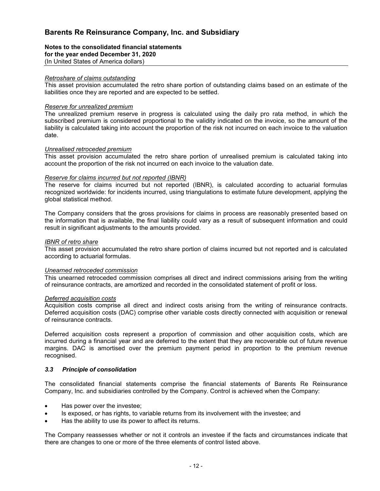#### **Notes to the consolidated financial statements for the year ended December 31, 2020**

(In United States of America dollars)

#### *Retroshare of claims outstanding*

This asset provision accumulated the retro share portion of outstanding claims based on an estimate of the liabilities once they are reported and are expected to be settled.

#### *Reserve for unrealized premium*

The unrealized premium reserve in progress is calculated using the daily pro rata method, in which the subscribed premium is considered proportional to the validity indicated on the invoice, so the amount of the liability is calculated taking into account the proportion of the risk not incurred on each invoice to the valuation date.

#### *Unrealised retroceded premium*

This asset provision accumulated the retro share portion of unrealised premium is calculated taking into account the proportion of the risk not incurred on each invoice to the valuation date.

#### *Reserve for claims incurred but not reported (IBNR)*

The reserve for claims incurred but not reported (IBNR), is calculated according to actuarial formulas recognized worldwide: for incidents incurred, using triangulations to estimate future development, applying the global statistical method.

The Company considers that the gross provisions for claims in process are reasonably presented based on the information that is available, the final liability could vary as a result of subsequent information and could result in significant adjustments to the amounts provided.

#### *IBNR of retro share*

This asset provision accumulated the retro share portion of claims incurred but not reported and is calculated according to actuarial formulas.

#### *Unearned retroceded commission*

This unearned retroceded commission comprises all direct and indirect commissions arising from the writing of reinsurance contracts, are amortized and recorded in the consolidated statement of profit or loss.

#### *Deferred acquisition costs*

Acquisition costs comprise all direct and indirect costs arising from the writing of reinsurance contracts. Deferred acquisition costs (DAC) comprise other variable costs directly connected with acquisition or renewal of reinsurance contracts.

Deferred acquisition costs represent a proportion of commission and other acquisition costs, which are incurred during a financial year and are deferred to the extent that they are recoverable out of future revenue margins. DAC is amortised over the premium payment period in proportion to the premium revenue recognised.

#### *3.3 Principle of consolidation*

The consolidated financial statements comprise the financial statements of Barents Re Reinsurance Company, Inc. and subsidiaries controlled by the Company. Control is achieved when the Company:

- Has power over the investee;
- Is exposed, or has rights, to variable returns from its involvement with the investee; and
- Has the ability to use its power to affect its returns.

The Company reassesses whether or not it controls an investee if the facts and circumstances indicate that there are changes to one or more of the three elements of control listed above.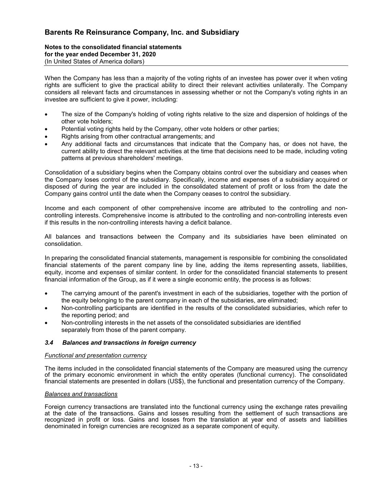#### **Notes to the consolidated financial statements for the year ended December 31, 2020** (In United States of America dollars)

When the Company has less than a majority of the voting rights of an investee has power over it when voting rights are sufficient to give the practical ability to direct their relevant activities unilaterally. The Company considers all relevant facts and circumstances in assessing whether or not the Company's voting rights in an investee are sufficient to give it power, including:

- The size of the Company's holding of voting rights relative to the size and dispersion of holdings of the other vote holders;
- Potential voting rights held by the Company, other vote holders or other parties;
- Rights arising from other contractual arrangements; and
- Any additional facts and circumstances that indicate that the Company has, or does not have, the current ability to direct the relevant activities at the time that decisions need to be made, including voting patterns at previous shareholders' meetings.

Consolidation of a subsidiary begins when the Company obtains control over the subsidiary and ceases when the Company loses control of the subsidiary. Specifically, income and expenses of a subsidiary acquired or disposed of during the year are included in the consolidated statement of profit or loss from the date the Company gains control until the date when the Company ceases to control the subsidiary.

Income and each component of other comprehensive income are attributed to the controlling and noncontrolling interests. Comprehensive income is attributed to the controlling and non-controlling interests even if this results in the non-controlling interests having a deficit balance.

All balances and transactions between the Company and its subsidiaries have been eliminated on consolidation.

In preparing the consolidated financial statements, management is responsible for combining the consolidated financial statements of the parent company line by line, adding the items representing assets, liabilities, equity, income and expenses of similar content. In order for the consolidated financial statements to present financial information of the Group, as if it were a single economic entity, the process is as follows:

- The carrying amount of the parent's investment in each of the subsidiaries, together with the portion of the equity belonging to the parent company in each of the subsidiaries, are eliminated;
- Non-controlling participants are identified in the results of the consolidated subsidiaries, which refer to the reporting period; and
- Non-controlling interests in the net assets of the consolidated subsidiaries are identified separately from those of the parent company.

#### *3.4 Balances and transactions in foreign currency*

#### *Functional and presentation currency*

The items included in the consolidated financial statements of the Company are measured using the currency of the primary economic environment in which the entity operates (functional currency). The consolidated financial statements are presented in dollars (US\$), the functional and presentation currency of the Company.

#### *Balances and transactions*

Foreign currency transactions are translated into the functional currency using the exchange rates prevailing at the date of the transactions. Gains and losses resulting from the settlement of such transactions are recognized in profit or loss. Gains and losses from the translation at year end of assets and liabilities denominated in foreign currencies are recognized as a separate component of equity.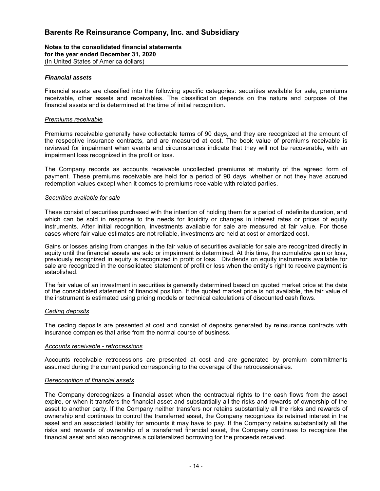#### **Notes to the consolidated financial statements for the year ended December 31, 2020** (In United States of America dollars)

#### *Financial assets*

Financial assets are classified into the following specific categories: securities available for sale, premiums receivable, other assets and receivables. The classification depends on the nature and purpose of the financial assets and is determined at the time of initial recognition.

#### *Premiums receivable*

Premiums receivable generally have collectable terms of 90 days, and they are recognized at the amount of the respective insurance contracts, and are measured at cost. The book value of premiums receivable is reviewed for impairment when events and circumstances indicate that they will not be recoverable, with an impairment loss recognized in the profit or loss.

The Company records as accounts receivable uncollected premiums at maturity of the agreed form of payment. These premiums receivable are held for a period of 90 days, whether or not they have accrued redemption values except when it comes to premiums receivable with related parties.

#### *Securities available for sale*

These consist of securities purchased with the intention of holding them for a period of indefinite duration, and which can be sold in response to the needs for liquidity or changes in interest rates or prices of equity instruments. After initial recognition, investments available for sale are measured at fair value. For those cases where fair value estimates are not reliable, investments are held at cost or amortized cost.

Gains or losses arising from changes in the fair value of securities available for sale are recognized directly in equity until the financial assets are sold or impairment is determined. At this time, the cumulative gain or loss, previously recognized in equity is recognized in profit or loss. Dividends on equity instruments available for sale are recognized in the consolidated statement of profit or loss when the entity's right to receive payment is established.

The fair value of an investment in securities is generally determined based on quoted market price at the date of the consolidated statement of financial position. If the quoted market price is not available, the fair value of the instrument is estimated using pricing models or technical calculations of discounted cash flows.

#### *Ceding deposits*

The ceding deposits are presented at cost and consist of deposits generated by reinsurance contracts with insurance companies that arise from the normal course of business.

#### *Accounts receivable - retrocessions*

Accounts receivable retrocessions are presented at cost and are generated by premium commitments assumed during the current period corresponding to the coverage of the retrocessionaires.

#### *Derecognition of financial assets*

The Company derecognizes a financial asset when the contractual rights to the cash flows from the asset expire, or when it transfers the financial asset and substantially all the risks and rewards of ownership of the asset to another party. If the Company neither transfers nor retains substantially all the risks and rewards of ownership and continues to control the transferred asset, the Company recognizes its retained interest in the asset and an associated liability for amounts it may have to pay. If the Company retains substantially all the risks and rewards of ownership of a transferred financial asset, the Company continues to recognize the financial asset and also recognizes a collateralized borrowing for the proceeds received.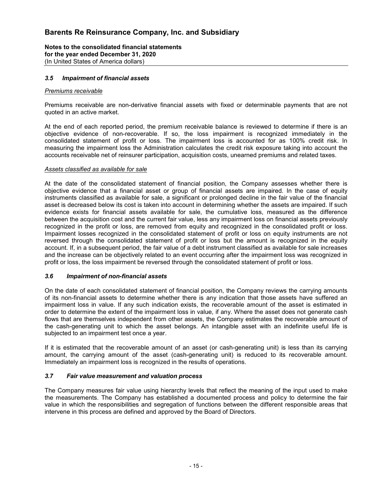#### **Notes to the consolidated financial statements for the year ended December 31, 2020** (In United States of America dollars)

#### *3.5 Impairment of financial assets*

#### *Premiums receivable*

Premiums receivable are non-derivative financial assets with fixed or determinable payments that are not quoted in an active market.

At the end of each reported period, the premium receivable balance is reviewed to determine if there is an objective evidence of non-recoverable. If so, the loss impairment is recognized immediately in the consolidated statement of profit or loss. The impairment loss is accounted for as 100% credit risk. In measuring the impairment loss the Administration calculates the credit risk exposure taking into account the accounts receivable net of reinsurer participation, acquisition costs, unearned premiums and related taxes.

#### *Assets classified as available for sale*

At the date of the consolidated statement of financial position, the Company assesses whether there is objective evidence that a financial asset or group of financial assets are impaired. In the case of equity instruments classified as available for sale, a significant or prolonged decline in the fair value of the financial asset is decreased below its cost is taken into account in determining whether the assets are impaired. If such evidence exists for financial assets available for sale, the cumulative loss, measured as the difference between the acquisition cost and the current fair value, less any impairment loss on financial assets previously recognized in the profit or loss, are removed from equity and recognized in the consolidated profit or loss. Impairment losses recognized in the consolidated statement of profit or loss on equity instruments are not reversed through the consolidated statement of profit or loss but the amount is recognized in the equity account. If, in a subsequent period, the fair value of a debt instrument classified as available for sale increases and the increase can be objectively related to an event occurring after the impairment loss was recognized in profit or loss, the loss impairment be reversed through the consolidated statement of profit or loss.

#### *3.6 Impairment of non-financial assets*

On the date of each consolidated statement of financial position, the Company reviews the carrying amounts of its non-financial assets to determine whether there is any indication that those assets have suffered an impairment loss in value. If any such indication exists, the recoverable amount of the asset is estimated in order to determine the extent of the impairment loss in value, if any. Where the asset does not generate cash flows that are themselves independent from other assets, the Company estimates the recoverable amount of the cash-generating unit to which the asset belongs. An intangible asset with an indefinite useful life is subjected to an impairment test once a year.

If it is estimated that the recoverable amount of an asset (or cash-generating unit) is less than its carrying amount, the carrying amount of the asset (cash-generating unit) is reduced to its recoverable amount. Immediately an impairment loss is recognized in the results of operations.

#### *3.7 Fair value measurement and valuation process*

The Company measures fair value using hierarchy levels that reflect the meaning of the input used to make the measurements. The Company has established a documented process and policy to determine the fair value in which the responsibilities and segregation of functions between the different responsible areas that intervene in this process are defined and approved by the Board of Directors.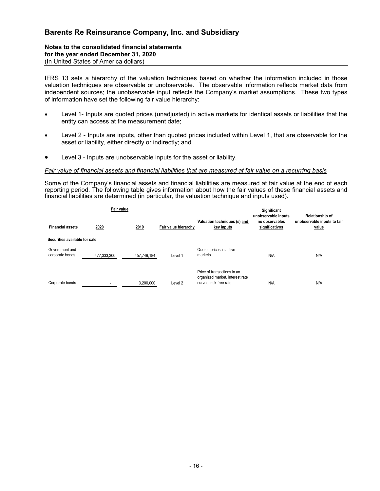## **Notes to the consolidated financial statements for the year ended December 31, 2020**

(In United States of America dollars)

IFRS 13 sets a hierarchy of the valuation techniques based on whether the information included in those valuation techniques are observable or unobservable. The observable information reflects market data from independent sources; the unobservable input reflects the Company's market assumptions. These two types of information have set the following fair value hierarchy:

- Level 1- Inputs are quoted prices (unadjusted) in active markets for identical assets or liabilities that the entity can access at the measurement date;
- Level 2 Inputs are inputs, other than quoted prices included within Level 1, that are observable for the asset or liability, either directly or indirectly; and
- Level 3 Inputs are unobservable inputs for the asset or liability.

#### *Fair value of financial assets and financial liabilities that are measured at fair value on a recurring basis*

Some of the Company's financial assets and financial liabilities are measured at fair value at the end of each reporting period. The following table gives information about how the fair values of these financial assets and financial liabilities are determined (in particular, the valuation technique and inputs used).

|                                   | <b>Fair value</b>        |             |                      |                                                                                           | <b>Significant</b><br>unobservable inputs | <b>Relationship of</b>               |
|-----------------------------------|--------------------------|-------------|----------------------|-------------------------------------------------------------------------------------------|-------------------------------------------|--------------------------------------|
| <b>Financial assets</b>           | 2020                     | 2019        | Fair value hierarchy | Valuation techniques (s) and<br>key inputs                                                | no observables<br>significativos          | unobservable inputs to fair<br>value |
| Securities available for sale     |                          |             |                      |                                                                                           |                                           |                                      |
| Government and<br>corporate bonds | 477.333.300              | 457,749,184 | Level 1              | Quoted prices in active<br>markets                                                        | N/A                                       | N/A                                  |
| Corporate bonds                   | $\overline{\phantom{a}}$ | 3,200,000   | Level 2              | Price of transactions in an<br>organized market, interest rate<br>curves, risk-free rate. | N/A                                       | N/A                                  |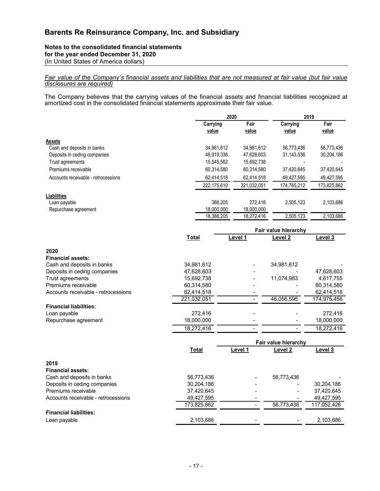#### **Notes to the consolidated financial statements for the year ended December 31, 2020** (In United States of America dollars)

#### *Fair value of the Company's financial assets and liabilities that are not measured at fair value (but fair value disclosures are required)*

The Company believes that the carrying values of the financial assets and financial liabilities recognized at amortized cost in the consolidated financial statements approximate their fair value.

|                                     |                   | 2020          |                   | 2019          |
|-------------------------------------|-------------------|---------------|-------------------|---------------|
|                                     | Carrying<br>value | Fair<br>value | Carrying<br>value | Fair<br>value |
| <b>Assets</b>                       |                   |               |                   |               |
| Cash and deposits in banks          | 34,981,612        | 34,981,612    | 56.773.436        | 56,773,436    |
| Deposits in ceding companies        | 48,919,338        | 47,628,603    | 31,143,536        | 30,204,186    |
| Trust agreements                    | 15,545,562        | 15,692,738    |                   |               |
| Premiums receivable                 | 60,314,580        | 60,314,580    | 37.420.645        | 37,420,645    |
| Accounts receivable - retrocessions | 62,414,518        | 62,414,518    | 49,427,595        | 49,427,595    |
|                                     | 222.175.610       | 221.032.051   | 174.765.212       | 173,825,862   |
| <b>Liabilities</b>                  |                   |               |                   |               |
| Loan payable                        | 388.205           | 272.416       | 2.505.123         | 2,103,686     |
| Repurchase agreement                | 18,000,000        | 18,000,000    |                   |               |
|                                     | 18,388,205        | 18,272,416    | 2,505,123         | 2,103,686     |

|                                     |              |                | Fair value hierarchy |             |
|-------------------------------------|--------------|----------------|----------------------|-------------|
|                                     | <b>Total</b> | Level 1        | Level 2              | Level 3     |
| 2020                                |              |                |                      |             |
| <b>Financial assets:</b>            |              |                |                      |             |
| Cash and deposits in banks          | 34,981,612   |                | 34,981,612           |             |
| Deposits in ceding companies        | 47,628,603   |                |                      | 47,628,603  |
| Trust agreements                    | 15,692,738   |                | 11,074,983           | 4,617,755   |
| Premiums receivable                 | 60,314,580   |                |                      | 60,314,580  |
| Accounts receivable - retrocessions | 62,414,518   |                |                      | 62,414,518  |
|                                     | 221,032,051  |                | 46,056,595           | 174,975,456 |
| <b>Financial liabilities:</b>       |              |                |                      |             |
| Loan payable                        | 272,416      |                |                      | 272,416     |
| Repurchase agreement                | 18,000,000   |                |                      | 18,000,000  |
|                                     | 18,272,416   |                |                      | 18,272,416  |
|                                     |              |                | Fair value hierarchy |             |
|                                     | <b>Total</b> | <b>Level 1</b> | Level 2              | Level 3     |
| 2019                                |              |                |                      |             |
| <b>Financial assets:</b>            |              |                |                      |             |
| Cash and deposits in banks          | 56,773,436   |                | 56,773,436           |             |
| Deposits in ceding companies        | 30,204,186   |                |                      | 30,204,186  |
| Premiums receivable                 | 37,420,645   |                |                      | 37,420,645  |
| Accounts receivable - retrocessions | 49,427,595   |                |                      | 49,427,595  |
|                                     | 173,825,862  |                | 56,773,436           | 117,052,426 |

| <b>Financial liabilities:</b> |           |
|-------------------------------|-----------|
| Loan payable                  | 2.103.686 |

 $\frac{1}{2}$  2,103,686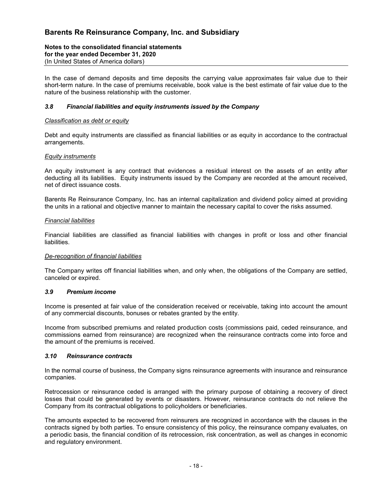#### **Notes to the consolidated financial statements for the year ended December 31, 2020** (In United States of America dollars)

In the case of demand deposits and time deposits the carrying value approximates fair value due to their short-term nature. In the case of premiums receivable, book value is the best estimate of fair value due to the nature of the business relationship with the customer.

#### *3.8 Financial liabilities and equity instruments issued by the Company*

#### *Classification as debt or equity*

Debt and equity instruments are classified as financial liabilities or as equity in accordance to the contractual arrangements.

#### *Equity instruments*

An equity instrument is any contract that evidences a residual interest on the assets of an entity after deducting all its liabilities. Equity instruments issued by the Company are recorded at the amount received, net of direct issuance costs.

Barents Re Reinsurance Company, Inc. has an internal capitalization and dividend policy aimed at providing the units in a rational and objective manner to maintain the necessary capital to cover the risks assumed.

#### *Financial liabilities*

Financial liabilities are classified as financial liabilities with changes in profit or loss and other financial liabilities.

#### *De-recognition of financial liabilities*

The Company writes off financial liabilities when, and only when, the obligations of the Company are settled, canceled or expired.

#### *3.9 Premium income*

Income is presented at fair value of the consideration received or receivable, taking into account the amount of any commercial discounts, bonuses or rebates granted by the entity.

Income from subscribed premiums and related production costs (commissions paid, ceded reinsurance, and commissions earned from reinsurance) are recognized when the reinsurance contracts come into force and the amount of the premiums is received.

#### *3.10 Reinsurance contracts*

In the normal course of business, the Company signs reinsurance agreements with insurance and reinsurance companies.

Retrocession or reinsurance ceded is arranged with the primary purpose of obtaining a recovery of direct losses that could be generated by events or disasters. However, reinsurance contracts do not relieve the Company from its contractual obligations to policyholders or beneficiaries.

The amounts expected to be recovered from reinsurers are recognized in accordance with the clauses in the contracts signed by both parties. To ensure consistency of this policy, the reinsurance company evaluates, on a periodic basis, the financial condition of its retrocession, risk concentration, as well as changes in economic and regulatory environment.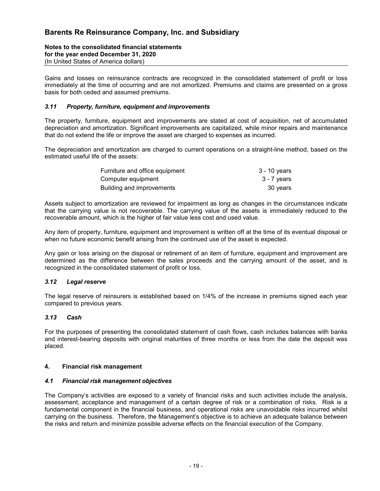**Notes to the consolidated financial statements for the year ended December 31, 2020** (In United States of America dollars)

Gains and losses on reinsurance contracts are recognized in the consolidated statement of profit or loss immediately at the time of occurring and are not amortized. Premiums and claims are presented on a gross basis for both ceded and assumed premiums.

#### *3.11 Property, furniture, equipment and improvements*

The property, furniture, equipment and improvements are stated at cost of acquisition, net of accumulated depreciation and amortization. Significant improvements are capitalized, while minor repairs and maintenance that do not extend the life or improve the asset are charged to expenses as incurred.

The depreciation and amortization are charged to current operations on a straight-line method, based on the estimated useful life of the assets:

| Furniture and office equipment | 3 - 10 vears |
|--------------------------------|--------------|
| Computer equipment             | 3 - 7 years  |
| Building and improvements      | 30 vears     |

Assets subject to amortization are reviewed for impairment as long as changes in the circumstances indicate that the carrying value is not recoverable. The carrying value of the assets is immediately reduced to the recoverable amount, which is the higher of fair value less cost and used value.

Any item of property, furniture, equipment and improvement is written off at the time of its eventual disposal or when no future economic benefit arising from the continued use of the asset is expected.

Any gain or loss arising on the disposal or retirement of an item of furniture, equipment and improvement are determined as the difference between the sales proceeds and the carrying amount of the asset, and is recognized in the consolidated statement of profit or loss.

#### *3.12 Legal reserve*

The legal reserve of reinsurers is established based on 1/4% of the increase in premiums signed each year compared to previous years.

#### *3.13 Cash*

For the purposes of presenting the consolidated statement of cash flows, cash includes balances with banks and interest-bearing deposits with original maturities of three months or less from the date the deposit was placed.

#### **4. Financial risk management**

#### *4.1 Financial risk management objectives*

The Company's activities are exposed to a variety of financial risks and such activities include the analysis, assessment, acceptance and management of a certain degree of risk or a combination of risks. Risk is a fundamental component in the financial business, and operational risks are unavoidable risks incurred whilst carrying on the business. Therefore, the Management's objective is to achieve an adequate balance between the risks and return and minimize possible adverse effects on the financial execution of the Company.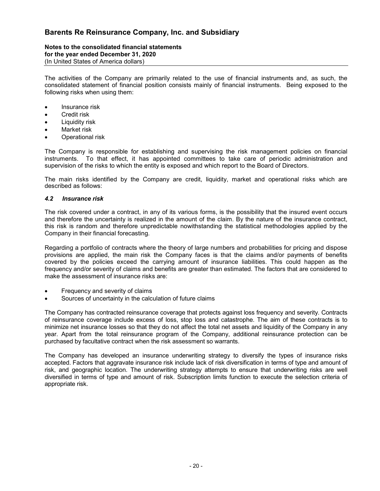#### **Notes to the consolidated financial statements for the year ended December 31, 2020** (In United States of America dollars)

The activities of the Company are primarily related to the use of financial instruments and, as such, the consolidated statement of financial position consists mainly of financial instruments. Being exposed to the following risks when using them:

- Insurance risk
- Credit risk
- Liquidity risk
- Market risk
- Operational risk

The Company is responsible for establishing and supervising the risk management policies on financial instruments. To that effect, it has appointed committees to take care of periodic administration and supervision of the risks to which the entity is exposed and which report to the Board of Directors.

The main risks identified by the Company are credit, liquidity, market and operational risks which are described as follows:

#### *4.2 Insurance risk*

The risk covered under a contract, in any of its various forms, is the possibility that the insured event occurs and therefore the uncertainty is realized in the amount of the claim. By the nature of the insurance contract, this risk is random and therefore unpredictable nowithstanding the statistical methodologies applied by the Company in their financial forecasting.

Regarding a portfolio of contracts where the theory of large numbers and probabilities for pricing and dispose provisions are applied, the main risk the Company faces is that the claims and/or payments of benefits covered by the policies exceed the carrying amount of insurance liabilities. This could happen as the frequency and/or severity of claims and benefits are greater than estimated. The factors that are considered to make the assessment of insurance risks are:

- Frequency and severity of claims
- Sources of uncertainty in the calculation of future claims

The Company has contracted reinsurance coverage that protects against loss frequency and severity. Contracts of reinsurance coverage include excess of loss, stop loss and catastrophe. The aim of these contracts is to minimize net insurance losses so that they do not affect the total net assets and liquidity of the Company in any year. Apart from the total reinsurance program of the Company, additional reinsurance protection can be purchased by facultative contract when the risk assessment so warrants.

The Company has developed an insurance underwriting strategy to diversify the types of insurance risks accepted. Factors that aggravate insurance risk include lack of risk diversification in terms of type and amount of risk, and geographic location. The underwriting strategy attempts to ensure that underwriting risks are well diversified in terms of type and amount of risk. Subscription limits function to execute the selection criteria of appropriate risk.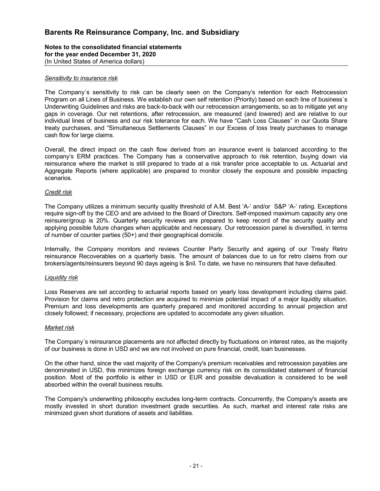## **Notes to the consolidated financial statements for the year ended December 31, 2020**

(In United States of America dollars)

#### *Sensitivity to insurance risk*

The Company´s sensitivity to risk can be clearly seen on the Company's retention for each Retrocession Program on all Lines of Business. We establish our own self retention (Priority) based on each line of business´s Underwriting Guidelines and risks are back-to-back with our retrocession arrangements, so as to mitigate yet any gaps in coverage. Our net retentions, after retrocession, are measured (and lowered) and are relative to our individual lines of business and our risk tolerance for each. We have "Cash Loss Clauses" in our Quota Share treaty purchases, and "Simultaneous Settlements Clauses" in our Excess of loss treaty purchases to manage cash flow for large claims.

Overall, the direct impact on the cash flow derived from an insurance event is balanced according to the company's ERM practices. The Company has a conservative approach to risk retention, buying down via reinsurance where the market is still prepared to trade at a risk transfer price acceptable to us. Actuarial and Aggregate Reports (where applicable) are prepared to monitor closely the exposure and possible impacting scenarios.

#### *Credit risk*

The Company utilizes a minimum security quality threshold of A.M. Best 'A-' and/or S&P 'A-' rating. Exceptions require sign-off by the CEO and are advised to the Board of Directors. Self-imposed maximum capacity any one reinsurer/group is 20%. Quarterly security reviews are prepared to keep record of the security quality and applying possible future changes when applicable and necessary. Our retrocession panel is diversified, in terms of number of counter parties (50+) and their geographical domicile.

Internally, the Company monitors and reviews Counter Party Security and ageing of our Treaty Retro reinsurance Recoverables on a quarterly basis. The amount of balances due to us for retro claims from our brokers/agents/reinsurers beyond 90 days ageing is \$nil. To date, we have no reinsurers that have defaulted.

#### *Liquidity risk*

Loss Reserves are set according to actuarial reports based on yearly loss development including claims paid. Provision for claims and retro protection are acquired to minimize potential impact of a major liquidity situation. Premium and loss developments are quarterly prepared and monitored according to annual projection and closely followed; if necessary, projections are updated to accomodate any given situation.

#### *Market risk*

The Company´s reinsurance placements are not affected directly by fluctuations on interest rates, as the majority of our business is done in USD and we are not involved on pure financial, credit, loan businesses.

On the other hand, since the vast majority of the Company's premium receivables and retrocession payables are denominated in USD, this minimizes foreign exchange currency risk on its consolidated statement of financial position. Most of the portfolio is either in USD or EUR and possible devaluation is considered to be well absorbed within the overall business results.

The Company's underwriting philosophy excludes long-term contracts. Concurrently, the Company's assets are mostly invested in short duration investment grade securities. As such, market and interest rate risks are minimized given short durations of assets and liabilities.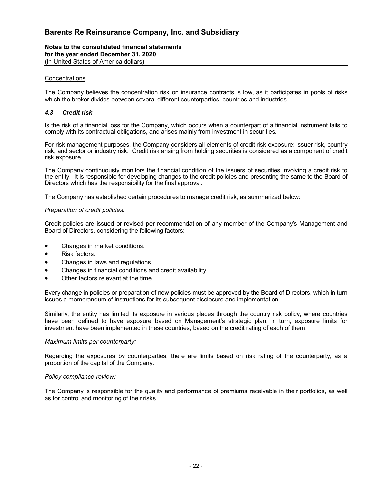#### **Notes to the consolidated financial statements for the year ended December 31, 2020** (In United States of America dollars)

#### **Concentrations**

The Company believes the concentration risk on insurance contracts is low, as it participates in pools of risks which the broker divides between several different counterparties, countries and industries.

#### *4.3 Credit risk*

Is the risk of a financial loss for the Company, which occurs when a counterpart of a financial instrument fails to comply with its contractual obligations, and arises mainly from investment in securities.

For risk management purposes, the Company considers all elements of credit risk exposure: issuer risk, country risk, and sector or industry risk. Credit risk arising from holding securities is considered as a component of credit risk exposure.

The Company continuously monitors the financial condition of the issuers of securities involving a credit risk to the entity. It is responsible for developing changes to the credit policies and presenting the same to the Board of Directors which has the responsibility for the final approval.

The Company has established certain procedures to manage credit risk, as summarized below:

#### *Preparation of credit policies:*

Credit policies are issued or revised per recommendation of any member of the Company's Management and Board of Directors, considering the following factors:

- Changes in market conditions.
- Risk factors.
- Changes in laws and regulations.
- Changes in financial conditions and credit availability.
- Other factors relevant at the time.

Every change in policies or preparation of new policies must be approved by the Board of Directors, which in turn issues a memorandum of instructions for its subsequent disclosure and implementation.

Similarly, the entity has limited its exposure in various places through the country risk policy, where countries have been defined to have exposure based on Management's strategic plan; in turn, exposure limits for investment have been implemented in these countries, based on the credit rating of each of them.

#### *Maximum limits per counterparty:*

Regarding the exposures by counterparties, there are limits based on risk rating of the counterparty, as a proportion of the capital of the Company.

#### *Policy compliance review:*

The Company is responsible for the quality and performance of premiums receivable in their portfolios, as well as for control and monitoring of their risks.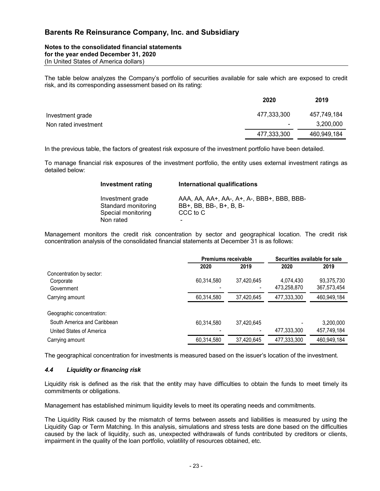## **Notes to the consolidated financial statements for the year ended December 31, 2020**

(In United States of America dollars)

The table below analyzes the Company's portfolio of securities available for sale which are exposed to credit risk, and its corresponding assessment based on its rating:

|                      | 2020           | 2019        |
|----------------------|----------------|-------------|
| Investment grade     | 477,333,300    | 457,749,184 |
| Non rated investment | $\blacksquare$ | 3,200,000   |
|                      | 477,333,300    | 460,949,184 |

In the previous table, the factors of greatest risk exposure of the investment portfolio have been detailed.

To manage financial risk exposures of the investment portfolio, the entity uses external investment ratings as detailed below:

| Investment rating                                             | International qualifications                                                      |
|---------------------------------------------------------------|-----------------------------------------------------------------------------------|
| Investment grade<br>Standard monitoring<br>Special monitoring | AAA, AA, AA+, AA-, A+, A-, BBB+, BBB, BBB-<br>BB+, BB, BB-, B+, B, B-<br>CCC to C |
| Non rated                                                     | $\overline{\phantom{0}}$                                                          |

Management monitors the credit risk concentration by sector and geographical location. The credit risk concentration analysis of the consolidated financial statements at December 31 is as follows:

|                             | <b>Premiums receivable</b> |            | Securities available for sale |             |
|-----------------------------|----------------------------|------------|-------------------------------|-------------|
|                             | 2020                       | 2019       | 2020                          | 2019        |
| Concentration by sector:    |                            |            |                               |             |
| Corporate                   | 60,314,580                 | 37,420,645 | 4,074,430                     | 93,375,730  |
| Government                  |                            |            | 473,258,870                   | 367,573,454 |
| Carrying amount             | 60,314,580                 | 37,420,645 | 477,333,300                   | 460,949,184 |
| Geographic concentration:   |                            |            |                               |             |
| South America and Caribbean | 60,314,580                 | 37,420,645 |                               | 3,200,000   |
| United States of America    |                            |            | 477,333,300                   | 457,749,184 |
| Carrying amount             | 60,314,580                 | 37,420,645 | 477,333,300                   | 460,949,184 |

The geographical concentration for investments is measured based on the issuer's location of the investment.

#### *4.4 Liquidity or financing risk*

Liquidity risk is defined as the risk that the entity may have difficulties to obtain the funds to meet timely its commitments or obligations.

Management has established minimum liquidity levels to meet its operating needs and commitments.

The Liquidity Risk caused by the mismatch of terms between assets and liabilities is measured by using the Liquidity Gap or Term Matching. In this analysis, simulations and stress tests are done based on the difficulties caused by the lack of liquidity, such as, unexpected withdrawals of funds contributed by creditors or clients, impairment in the quality of the loan portfolio, volatility of resources obtained, etc.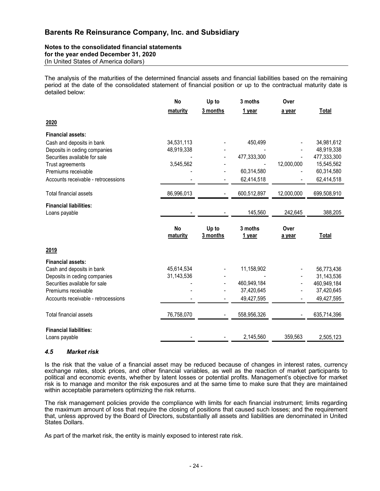#### **Notes to the consolidated financial statements for the year ended December 31, 2020** (In United States of America dollars)

The analysis of the maturities of the determined financial assets and financial liabilities based on the remaining period at the date of the consolidated statement of financial position or up to the contractual maturity date is detailed below:

|                                     | <b>No</b>             | Up to             | 3 moths           | Over           |              |
|-------------------------------------|-----------------------|-------------------|-------------------|----------------|--------------|
|                                     | maturity              | 3 months          | 1 year            | a year         | <b>Total</b> |
| 2020                                |                       |                   |                   |                |              |
| <b>Financial assets:</b>            |                       |                   |                   |                |              |
| Cash and deposits in bank           | 34,531,113            |                   | 450,499           |                | 34,981,612   |
| Deposits in ceding companies        | 48,919,338            |                   |                   |                | 48,919,338   |
| Securities available for sale       |                       |                   | 477,333,300       |                | 477,333,300  |
| Trust agreements                    | 3,545,562             |                   |                   | 12,000,000     | 15,545,562   |
| Premiums receivable                 |                       |                   | 60,314,580        |                | 60,314,580   |
| Accounts receivable - retrocessions |                       |                   | 62,414,518        |                | 62,414,518   |
| <b>Total financial assets</b>       | 86,996,013            |                   | 600,512,897       | 12,000,000     | 699,508,910  |
| <b>Financial liabilities:</b>       |                       |                   |                   |                |              |
| Loans payable                       |                       |                   | 145,560           | 242,645        | 388,205      |
|                                     | <b>No</b><br>maturity | Up to<br>3 months | 3 moths<br>1 year | Over<br>a year | <b>Total</b> |
| 2019                                |                       |                   |                   |                |              |
| <b>Financial assets:</b>            |                       |                   |                   |                |              |
| Cash and deposits in bank           | 45,614,534            |                   | 11,158,902        |                | 56,773,436   |
| Deposits in ceding companies        | 31,143,536            |                   |                   |                | 31,143,536   |
| Securities available for sale       |                       |                   | 460,949,184       |                | 460,949,184  |
| Premiums receivable                 |                       |                   | 37,420,645        |                | 37,420,645   |
| Accounts receivable - retrocessions |                       |                   | 49,427,595        |                | 49,427,595   |
|                                     |                       |                   |                   |                |              |
| <b>Total financial assets</b>       | 76,758,070            |                   | 558,956,326       |                | 635,714,396  |
| <b>Financial liabilities:</b>       |                       |                   |                   |                |              |

#### *4.5 Market risk*

Is the risk that the value of a financial asset may be reduced because of changes in interest rates, currency exchange rates, stock prices, and other financial variables, as well as the reaction of market participants to political and economic events, whether by latent losses or potential profits. Management's objective for market risk is to manage and monitor the risk exposures and at the same time to make sure that they are maintained within acceptable parameters optimizing the risk returns.

The risk management policies provide the compliance with limits for each financial instrument; limits regarding the maximum amount of loss that require the closing of positions that caused such losses; and the requirement that, unless approved by the Board of Directors, substantially all assets and liabilities are denominated in United States Dollars.

As part of the market risk, the entity is mainly exposed to interest rate risk.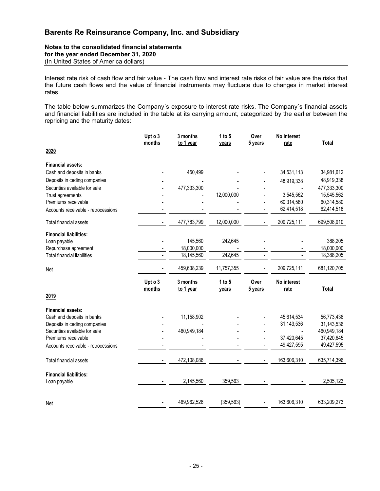#### **Notes to the consolidated financial statements for the year ended December 31, 2020** (In United States of America dollars)

Interest rate risk of cash flow and fair value - The cash flow and interest rate risks of fair value are the risks that the future cash flows and the value of financial instruments may fluctuate due to changes in market interest rates.

The table below summarizes the Company´s exposure to interest rate risks. The Company´s financial assets and financial liabilities are included in the table at its carrying amount, categorized by the earlier between the repricing and the maturity dates:

|                                     | Upt o 3<br>months | 3 months<br>to 1 year | 1 to $5$<br>years | Over<br>5 years          | No interest<br>rate | <b>Total</b> |
|-------------------------------------|-------------------|-----------------------|-------------------|--------------------------|---------------------|--------------|
| 2020                                |                   |                       |                   |                          |                     |              |
| <b>Financial assets:</b>            |                   |                       |                   |                          |                     |              |
| Cash and deposits in banks          |                   | 450,499               |                   |                          | 34,531,113          | 34,981,612   |
| Deposits in ceding companies        |                   |                       |                   |                          | 48,919,338          | 48,919,338   |
| Securities available for sale       |                   | 477,333,300           |                   |                          |                     | 477,333,300  |
| Trust agreements                    |                   |                       | 12,000,000        |                          | 3,545,562           | 15,545,562   |
| Premiums receivable                 |                   |                       |                   |                          | 60,314,580          | 60,314,580   |
| Accounts receivable - retrocessions |                   |                       |                   |                          | 62,414,518          | 62,414,518   |
| Total financial assets              |                   | 477,783,799           | 12,000,000        | $\overline{\phantom{a}}$ | 209,725,111         | 699,508,910  |
| <b>Financial liabilities:</b>       |                   |                       |                   |                          |                     |              |
| Loan payable                        |                   | 145,560               | 242,645           |                          |                     | 388,205      |
| Repurchase agreement                |                   | 18,000,000            |                   |                          |                     | 18,000,000   |
| <b>Total financial liabilities</b>  |                   | 18,145,560            | 242,645           |                          |                     | 18,388,205   |
| Net                                 |                   | 459,638,239           | 11,757,355        |                          | 209,725,111         | 681,120,705  |
|                                     | Upt o 3           | 3 months              | 1 to 5            | Over                     | No interest         |              |
|                                     | months            | to 1 year             | years             | 5 years                  | rate                | <b>Total</b> |
| 2019                                |                   |                       |                   |                          |                     |              |
| <b>Financial assets:</b>            |                   |                       |                   |                          |                     |              |
| Cash and deposits in banks          |                   | 11,158,902            |                   |                          | 45,614,534          | 56,773,436   |
| Deposits in ceding companies        |                   |                       |                   |                          | 31,143,536          | 31,143,536   |
| Securities available for sale       |                   | 460,949,184           |                   |                          |                     | 460,949,184  |
| Premiums receivable                 |                   |                       |                   |                          | 37,420,645          | 37,420,645   |
| Accounts receivable - retrocessions |                   |                       |                   |                          | 49,427,595          | 49,427,595   |
| Total financial assets              |                   | 472,108,086           |                   |                          | 163,606,310         | 635,714,396  |
| <b>Financial liabilities:</b>       |                   |                       |                   |                          |                     |              |
| Loan payable                        |                   | 2,145,560             | 359,563           |                          |                     | 2,505,123    |
|                                     |                   |                       |                   |                          |                     |              |
|                                     |                   |                       |                   |                          |                     |              |
| Net                                 |                   | 469,962,526           | (359, 563)        |                          | 163,606,310         | 633,209,273  |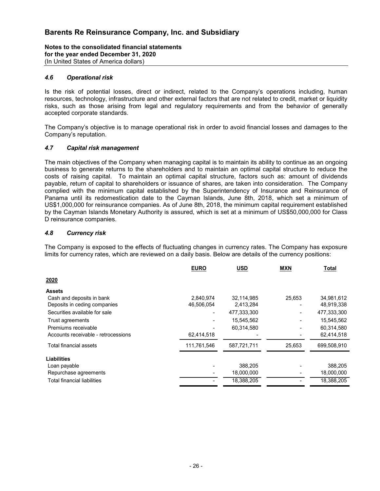**Notes to the consolidated financial statements for the year ended December 31, 2020** (In United States of America dollars)

#### *4.6 Operational risk*

Is the risk of potential losses, direct or indirect, related to the Company's operations including, human resources, technology, infrastructure and other external factors that are not related to credit, market or liquidity risks, such as those arising from legal and regulatory requirements and from the behavior of generally accepted corporate standards.

The Company's objective is to manage operational risk in order to avoid financial losses and damages to the Company's reputation.

#### *4.7 Capital risk management*

The main objectives of the Company when managing capital is to maintain its ability to continue as an ongoing business to generate returns to the shareholders and to maintain an optimal capital structure to reduce the costs of raising capital. To maintain an optimal capital structure, factors such as: amount of dividends payable, return of capital to shareholders or issuance of shares, are taken into consideration. The Company complied with the minimum capital established by the Superintendency of Insurance and Reinsurance of Panama until its redomestication date to the Cayman Islands, June 8th, 2018, which set a minimum of US\$1,000,000 for reinsurance companies. As of June 8th, 2018, the minimum capital requirement established by the Cayman Islands Monetary Authority is assured, which is set at a minimum of US\$50,000,000 for Class D reinsurance companies.

#### *4.8 Currency risk*

The Company is exposed to the effects of fluctuating changes in currency rates. The Company has exposure limits for currency rates, which are reviewed on a daily basis. Below are details of the currency positions:

|                                     | <b>EURO</b>    | <u>USD</u>  | <b>MXN</b> | <b>Total</b> |
|-------------------------------------|----------------|-------------|------------|--------------|
| 2020                                |                |             |            |              |
| <b>Assets</b>                       |                |             |            |              |
| Cash and deposits in bank           | 2,840,974      | 32.114.985  | 25.653     | 34,981,612   |
| Deposits in ceding companies        | 46,506,054     | 2,413,284   |            | 48,919,338   |
| Securities available for sale       | $\blacksquare$ | 477,333,300 |            | 477,333,300  |
| Trust agreements                    |                | 15,545,562  |            | 15,545,562   |
| Premiums receivable                 |                | 60,314,580  |            | 60.314,580   |
| Accounts receivable - retrocessions | 62,414,518     |             |            | 62,414,518   |
| Total financial assets              | 111,761,546    | 587,721,711 | 25,653     | 699,508,910  |
| Liabilities                         |                |             |            |              |
| Loan payable                        |                | 388,205     |            | 388,205      |
| Repurchase agreements               |                | 18,000,000  |            | 18,000,000   |
| Total financial liabilities         |                | 18,388,205  |            | 18,388,205   |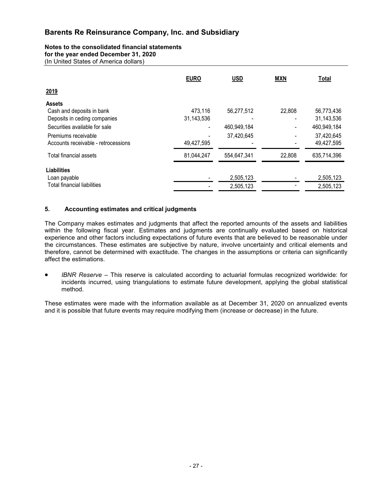#### **Notes to the consolidated financial statements for the year ended December 31, 2020**

(In United States of America dollars)

|                                     | <b>EURO</b> | <b>USD</b>  | <b>MXN</b> | <b>Total</b> |
|-------------------------------------|-------------|-------------|------------|--------------|
| 2019                                |             |             |            |              |
| <b>Assets</b>                       |             |             |            |              |
| Cash and deposits in bank           | 473.116     | 56,277,512  | 22,808     | 56,773,436   |
| Deposits in ceding companies        | 31,143,536  | -           | ۰          | 31,143,536   |
| Securities available for sale       |             | 460.949.184 | ٠          | 460,949,184  |
| Premiums receivable                 |             | 37,420,645  |            | 37,420,645   |
| Accounts receivable - retrocessions | 49,427,595  |             | ۰          | 49,427,595   |
| Total financial assets              | 81,044,247  | 554,647,341 | 22,808     | 635,714,396  |
| <b>Liabilities</b>                  |             |             |            |              |
| Loan payable                        |             | 2,505,123   |            | 2,505,123    |
| <b>Total financial liabilities</b>  |             | 2,505,123   |            | 2,505,123    |

#### **5. Accounting estimates and critical judgments**

The Company makes estimates and judgments that affect the reported amounts of the assets and liabilities within the following fiscal year. Estimates and judgments are continually evaluated based on historical experience and other factors including expectations of future events that are believed to be reasonable under the circumstances. These estimates are subjective by nature, involve uncertainty and critical elements and therefore, cannot be determined with exactitude. The changes in the assumptions or criteria can significantly affect the estimations.

• *IBNR Reserve* – This reserve is calculated according to actuarial formulas recognized worldwide: for incidents incurred, using triangulations to estimate future development, applying the global statistical method.

These estimates were made with the information available as at December 31, 2020 on annualized events and it is possible that future events may require modifying them (increase or decrease) in the future.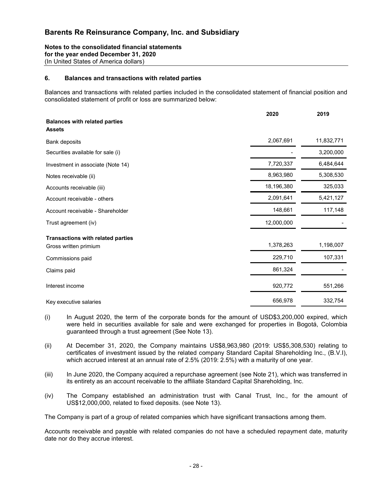**Notes to the consolidated financial statements for the year ended December 31, 2020** (In United States of America dollars)

#### **6. Balances and transactions with related parties**

Balances and transactions with related parties included in the consolidated statement of financial position and consolidated statement of profit or loss are summarized below:

|                                                       | 2020       | 2019       |
|-------------------------------------------------------|------------|------------|
| <b>Balances with related parties</b><br><b>Assets</b> |            |            |
| Bank deposits                                         | 2,067,691  | 11,832,771 |
| Securities available for sale (i)                     |            | 3,200,000  |
| Investment in associate (Note 14)                     | 7,720,337  | 6,484,644  |
| Notes receivable (ii)                                 | 8,963,980  | 5,308,530  |
| Accounts receivable (iii)                             | 18,196,380 | 325,033    |
| Account receivable - others                           | 2,091,641  | 5,421,127  |
| Account receivable - Shareholder                      | 148,661    | 117,148    |
| Trust agreement (iv)                                  | 12,000,000 |            |
| <b>Transactions with related parties</b>              |            |            |
| Gross written primium                                 | 1,378,263  | 1,198,007  |
| Commissions paid                                      | 229,710    | 107,331    |
| Claims paid                                           | 861,324    |            |
| Interest income                                       | 920,772    | 551,266    |
| Key executive salaries                                | 656,978    | 332,754    |

- (i) In August 2020, the term of the corporate bonds for the amount of USD\$3,200,000 expired, which were held in securities available for sale and were exchanged for properties in Bogotá, Colombia guaranteed through a trust agreement (See Note 13).
- (ii) At December 31, 2020, the Company maintains US\$8,963,980 (2019: US\$5,308,530) relating to certificates of investment issued by the related company Standard Capital Shareholding Inc., (B.V.I), which accrued interest at an annual rate of 2.5% (2019: 2.5%) with a maturity of one year.
- (iii) In June 2020, the Company acquired a repurchase agreement (see Note 21), which was transferred in its entirety as an account receivable to the affiliate Standard Capital Shareholding, Inc.
- (iv) The Company established an administration trust with Canal Trust, Inc., for the amount of US\$12,000,000, related to fixed deposits. (see Note 13).

The Company is part of a group of related companies which have significant transactions among them.

Accounts receivable and payable with related companies do not have a scheduled repayment date, maturity date nor do they accrue interest.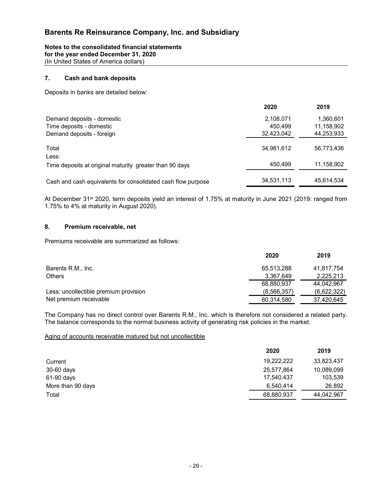### **Notes to the consolidated financial statements for the year ended December 31, 2020**

(In United States of America dollars)

#### **7. Cash and bank deposits**

Deposits in banks are detailed below:

|                                                              | 2020                 | 2019                    |
|--------------------------------------------------------------|----------------------|-------------------------|
| Demand deposits - domestic<br>Time deposits - domestic       | 2,108,071<br>450.499 | 1,360,601<br>11,158,902 |
| Demand deposits - foreign                                    | 32,423,042           | 44,253,933              |
| Total<br>Less:                                               | 34,981,612           | 56,773,436              |
| Time deposits at original maturity greater than 90 days      | 450,499              | 11,158,902              |
| Cash and cash equivalents for consolidated cash flow purpose | 34,531,113           | 45,614,534              |

At December 31<sup>st</sup> 2020, term deposits yield an interest of 1.75% at maturity in June 2021 (2019: ranged from 1.75% to 4% at maturity in August 2020).

#### **8. Premium receivable, net**

Premiums receivable are summarized as follows:

|                                       | 2020          | 2019        |
|---------------------------------------|---------------|-------------|
| Barents R.M., Inc.                    | 65.513.288    | 41.817.754  |
| <b>Others</b>                         | 3.367.649     | 2,225,213   |
|                                       | 68,880,937    | 44.042.967  |
| Less: uncollectible premium provision | (8, 566, 357) | (6,622,322) |
| Net premium receivable                | 60,314,580    | 37,420,645  |

The Company has no direct control over Barents R.M., Inc. which is therefore not considered a related party. The balance corresponds to the normal business activity of generating risk policies in the market.

#### Aging of accounts receivable matured but not uncollectible

|                   | 2020       | 2019       |
|-------------------|------------|------------|
| Current           | 19,222,222 | 33,823,437 |
| 30-60 days        | 25,577,864 | 10,089,099 |
| 61-90 days        | 17,540,437 | 103,539    |
| More than 90 days | 6,540,414  | 26.892     |
| Total             | 68,880,937 | 44,042,967 |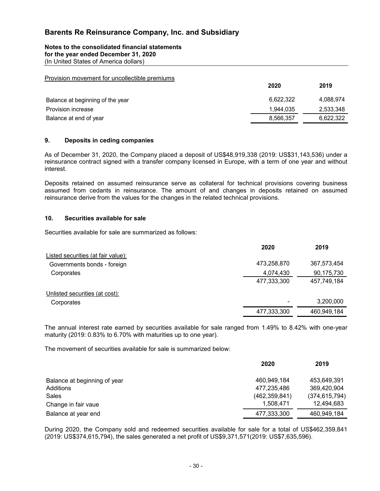## **Notes to the consolidated financial statements for the year ended December 31, 2020**

(In United States of America dollars)

| 2020      |           |
|-----------|-----------|
|           | 2019      |
| 6,622,322 | 4,088,974 |
| 1.944.035 | 2,533,348 |
| 8,566,357 | 6,622,322 |
|           |           |

#### **9. Deposits in ceding companies**

As of December 31, 2020, the Company placed a deposit of US\$48,919,338 (2019: US\$31,143,536) under a reinsurance contract signed with a transfer company licensed in Europe, with a term of one year and without interest.

Deposits retained on assumed reinsurance serve as collateral for technical provisions covering business assumed from cedants in reinsurance. The amount of and changes in deposits retained on assumed reinsurance derive from the values for the changes in the related technical provisions.

#### **10. Securities available for sale**

Securities available for sale are summarized as follows:

|                                    | 2020        | 2019        |
|------------------------------------|-------------|-------------|
| Listed securities (at fair value): |             |             |
| Governments bonds - foreign        | 473,258,870 | 367,573,454 |
| Corporates                         | 4,074,430   | 90,175,730  |
|                                    | 477,333,300 | 457,749,184 |
| Unlisted securities (at cost):     |             |             |
| Corporates                         | ٠           | 3,200,000   |
|                                    | 477,333,300 | 460,949,184 |

The annual interest rate earned by securities available for sale ranged from 1.49% to 8.42% with one-year maturity (2019: 0.83% to 6.70% with maturities up to one year).

The movement of securities available for sale is summarized below:

|                              | 2020            | 2019            |
|------------------------------|-----------------|-----------------|
| Balance at beginning of year | 460,949,184     | 453,649,391     |
| Additions                    | 477,235,486     | 369,420,904     |
| <b>Sales</b>                 | (462, 359, 841) | (374, 615, 794) |
| Change in fair vaue          | 1.508.471       | 12,494,683      |
| Balance at year end          | 477,333,300     | 460,949,184     |

During 2020, the Company sold and redeemed securities available for sale for a total of US\$462,359,841 (2019: US\$374,615,794), the sales generated a net profit of US\$9,371,571(2019: US\$7,635,596).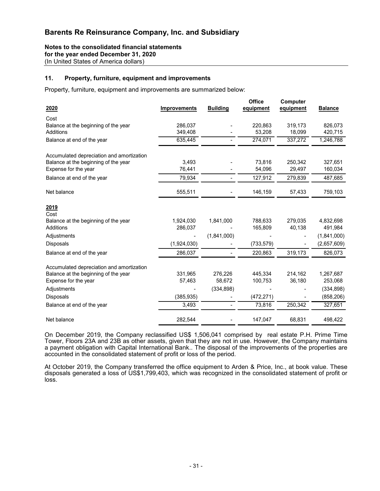#### **Notes to the consolidated financial statements for the year ended December 31, 2020** (In United States of America dollars)

#### **11. Property, furniture, equipment and improvements**

Property, furniture, equipment and improvements are summarized below:

| 2020                                         | <b>Improvements</b> | <b>Building</b>          | <b>Office</b><br>equipment | Computer<br>equipment | <b>Balance</b> |
|----------------------------------------------|---------------------|--------------------------|----------------------------|-----------------------|----------------|
|                                              |                     |                          |                            |                       |                |
| Cost<br>Balance at the beginning of the year | 286,037             |                          | 220,863                    | 319,173               | 826,073        |
| Additions                                    | 349,408             |                          | 53,208                     | 18,099                | 420,715        |
| Balance at end of the year                   | 635,445             |                          | 274,071                    | 337,272               | 1,246,788      |
| Accumulated depreciation and amortization    |                     |                          |                            |                       |                |
| Balance at the beginning of the year         | 3,493               |                          | 73,816                     | 250,342               | 327,651        |
| Expense for the year                         | 76,441              |                          | 54,096                     | 29,497                | 160,034        |
| Balance at end of the year                   | 79,934              | $\overline{\phantom{a}}$ | 127,912                    | 279,839               | 487,685        |
| Net balance                                  | 555,511             |                          | 146,159                    | 57,433                | 759,103        |
| 2019<br>Cost                                 |                     |                          |                            |                       |                |
| Balance at the beginning of the year         | 1,924,030           | 1,841,000                | 788,633                    | 279,035               | 4,832,698      |
| Additions                                    | 286,037             |                          | 165,809                    | 40,138                | 491,984        |
| Adjustments                                  |                     | (1,841,000)              |                            |                       | (1,841,000)    |
| Disposals                                    | (1,924,030)         |                          | (733, 579)                 |                       | (2,657,609)    |
| Balance at end of the year                   | 286,037             |                          | 220,863                    | 319,173               | 826,073        |
| Accumulated depreciation and amortization    |                     |                          |                            |                       |                |
| Balance at the beginning of the year         | 331,965             | 276,226                  | 445,334                    | 214,162               | 1,267,687      |
| Expense for the year                         | 57,463              | 58,672                   | 100,753                    | 36,180                | 253,068        |
| Adjustments                                  |                     | (334, 898)               |                            |                       | (334, 898)     |
| Disposals                                    | (385, 935)          |                          | (472, 271)                 |                       | (858, 206)     |
| Balance at end of the year                   | 3,493               |                          | 73,816                     | 250,342               | 327,651        |
| Net balance                                  | 282,544             |                          | 147,047                    | 68,831                | 498,422        |

On December 2019, the Company reclassified US\$ 1,506,041 comprised by real estate P.H. Prime Time Tower, Floors 23A and 23B as other assets, given that they are not in use. However, the Company maintains a payment obligation with Capital International Bank.. The disposal of the improvements of the properties are accounted in the consolidated statement of profit or loss of the period.

At October 2019, the Company transferred the office equipment to Arden & Price, Inc., at book value. These disposals generated a loss of US\$1,799,403, which was recognized in the consolidated statement of profit or loss.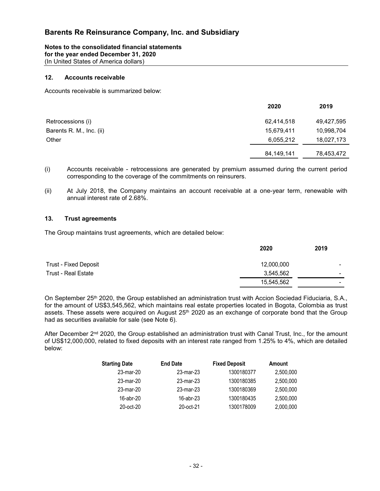## **Notes to the consolidated financial statements for the year ended December 31, 2020**

(In United States of America dollars)

#### **12. Accounts receivable**

Accounts receivable is summarized below:

|                          | 2020         | 2019       |
|--------------------------|--------------|------------|
| Retrocessions (i)        | 62,414,518   | 49,427,595 |
| Barents R. M., Inc. (ii) | 15,679,411   | 10,998,704 |
| Other                    | 6,055,212    | 18,027,173 |
|                          | 84, 149, 141 | 78,453,472 |

(i) Accounts receivable - retrocessions are generated by premium assumed during the current period corresponding to the coverage of the commitments on reinsurers.

(ii) At July 2018, the Company maintains an account receivable at a one-year term, renewable with annual interest rate of 2.68%.

#### **13. Trust agreements**

The Group maintains trust agreements, which are detailed below:

|                       | 2020       | 2019                     |
|-----------------------|------------|--------------------------|
| Trust - Fixed Deposit | 12,000,000 | $\overline{\phantom{0}}$ |
| Trust - Real Estate   | 3,545,562  | $\overline{\phantom{a}}$ |
|                       | 15,545,562 | $\overline{\phantom{a}}$ |

On September 25<sup>th</sup> 2020, the Group established an administration trust with Accion Sociedad Fiduciaria, S.A., for the amount of US\$3,545,562, which maintains real estate properties located in Bogota, Colombia as trust assets. These assets were acquired on August 25<sup>th</sup> 2020 as an exchange of corporate bond that the Group had as securities available for sale (see Note 6).

After December 2<sup>nd</sup> 2020, the Group established an administration trust with Canal Trust, Inc., for the amount of US\$12,000,000, related to fixed deposits with an interest rate ranged from 1.25% to 4%, which are detailed below:

| <b>Starting Date</b> | <b>End Date</b> | <b>Fixed Deposit</b> | <b>Amount</b> |
|----------------------|-----------------|----------------------|---------------|
| 23-mar-20            | 23-mar-23       | 1300180377           | 2,500,000     |
| 23-mar-20            | 23-mar-23       | 1300180385           | 2,500,000     |
| 23-mar-20            | 23-mar-23       | 1300180369           | 2,500,000     |
| 16-abr-20            | 16-abr-23       | 1300180435           | 2,500,000     |
| 20-oct-20            | 20-oct-21       | 1300178009           | 2,000,000     |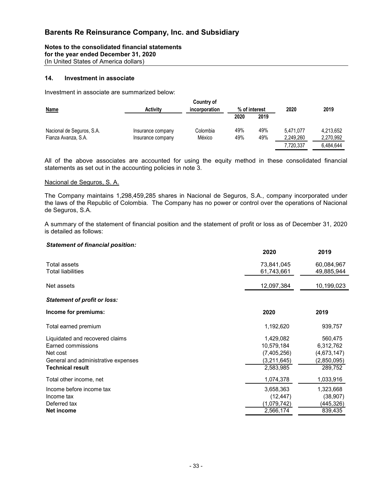#### **Notes to the consolidated financial statements for the year ended December 31, 2020** (In United States of America dollars)

#### **14. Investment in associate**

Investment in associate are summarized below:

|                           |                   | Country of    |      |               |           |           |
|---------------------------|-------------------|---------------|------|---------------|-----------|-----------|
| <b>Name</b>               | <b>Activity</b>   | incorporation |      | % of interest | 2020      | 2019      |
|                           |                   |               | 2020 | 2019          |           |           |
| Nacional de Seguros, S.A. | Insurance company | Colombia      | 49%  | 49%           | 5.471.077 | 4,213,652 |
| Fianza Avanza, S.A.       | Insurance company | México        | 49%  | 49%           | 2,249,260 | 2,270,992 |
|                           |                   |               |      |               | 7,720,337 | 6.484.644 |

All of the above associates are accounted for using the equity method in these consolidated financial statements as set out in the accounting policies in note 3.

#### Nacional de Seguros, S. A.

The Company maintains 1,298,459,285 shares in Nacional de Seguros, S.A., company incorporated under the laws of the Republic of Colombia. The Company has no power or control over the operations of Nacional de Seguros, S.A.

A summary of the statement of financial position and the statement of profit or loss as of December 31, 2020 is detailed as follows:

#### *Statement of financial position:*

|                                     | 2020        | 2019        |
|-------------------------------------|-------------|-------------|
| Total assets                        | 73,841,045  | 60,084,967  |
| <b>Total liabilities</b>            | 61,743,661  | 49,885,944  |
| Net assets                          | 12,097,384  | 10,199,023  |
| <b>Statement of profit or loss:</b> |             |             |
| Income for premiums:                | 2020        | 2019        |
| Total earned premium                | 1,192,620   | 939,757     |
| Liquidated and recovered claims     | 1,429,082   | 560,475     |
| Earned commissions                  | 10,579,184  | 6,312,762   |
| Net cost                            | (7,405,256) | (4,673,147) |
| General and administrative expenses | (3,211,645) | (2,850,095) |
| <b>Technical result</b>             | 2,583,985   | 289,752     |
| Total other income, net             | 1,074,378   | 1,033,916   |
| Income before income tax            | 3,658,363   | 1,323,668   |
| Income tax                          | (12, 447)   | (38, 907)   |
| Deferred tax                        | (1,079,742) | (445,326)   |
| <b>Net income</b>                   | 2,566,174   | 839,435     |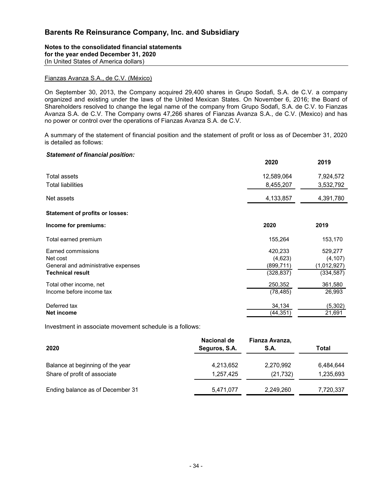**Notes to the consolidated financial statements for the year ended December 31, 2020** (In United States of America dollars)

#### Fianzas Avanza S.A., de C.V. (México)

On September 30, 2013, the Company acquired 29,400 shares in Grupo Sodafi, S.A. de C.V. a company organized and existing under the laws of the United Mexican States. On November 6, 2016; the Board of Shareholders resolved to change the legal name of the company from Grupo Sodafi, S.A. de C.V. to Fianzas Avanza S.A. de C.V. The Company owns 47,266 shares of Fianzas Avanza S.A., de C.V. (Mexico) and has no power or control over the operations of Fianzas Avanza S.A. de C.V.

A summary of the statement of financial position and the statement of profit or loss as of December 31, 2020 is detailed as follows:

#### *Statement of financial position:*

|                                        | 2020       | 2019        |
|----------------------------------------|------------|-------------|
| Total assets                           | 12,589,064 | 7,924,572   |
| <b>Total liabilities</b>               | 8,455,207  | 3,532,792   |
| Net assets                             | 4,133,857  | 4,391,780   |
| <b>Statement of profits or losses:</b> |            |             |
| Income for premiums:                   | 2020       | 2019        |
| Total earned premium                   | 155,264    | 153,170     |
| Earned commissions                     | 420,233    | 529,277     |
| Net cost                               | (4,623)    | (4, 107)    |
| General and administrative expenses    | (899, 711) | (1,012,927) |
| <b>Technical result</b>                | (328, 837) | (334, 587)  |
| Total other income, net                | 250,352    | 361,580     |
| Income before income tax               | (78, 485)  | 26,993      |
| Deferred tax                           | 34,134     | (5, 302)    |
| <b>Net income</b>                      | (44, 351)  | 21,691      |

Investment in associate movement schedule is a follows:

| 2020                             | Nacional de<br>Seguros, S.A. | Fianza Avanza,<br>S.A. | Total     |
|----------------------------------|------------------------------|------------------------|-----------|
| Balance at beginning of the year | 4,213,652                    | 2.270.992              | 6.484.644 |
| Share of profit of associate     | 1.257.425                    | (21, 732)              | 1,235,693 |
| Ending balance as of December 31 | 5,471,077                    | 2,249,260              | 7,720,337 |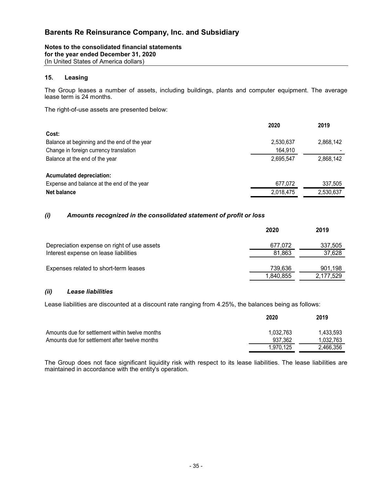#### **Notes to the consolidated financial statements for the year ended December 31, 2020** (In United States of America dollars)

#### **15. Leasing**

The Group leases a number of assets, including buildings, plants and computer equipment. The average lease term is 24 months.

The right-of-use assets are presented below:

|                                              | 2020      | 2019      |
|----------------------------------------------|-----------|-----------|
| Cost:                                        |           |           |
| Balance at beginning and the end of the year | 2,530,637 | 2,868,142 |
| Change in foreign currency translation       | 164,910   |           |
| Balance at the end of the year               | 2,695,547 | 2,868,142 |
| <b>Acumulated depreciation:</b>              |           |           |
| Expense and balance at the end of the year   | 677,072   | 337,505   |
| Net balance                                  | 2,018,475 | 2,530,637 |

#### *(i) Amounts recognized in the consolidated statement of profit or loss*

|                                             | 2020      | 2019      |
|---------------------------------------------|-----------|-----------|
| Depreciation expense on right of use assets | 677,072   | 337,505   |
| Interest expense on lease liabilities       | 81.863    | 37,628    |
| Expenses related to short-term leases       | 739,636   | 901,198   |
|                                             | 1,840,855 | 2,177,529 |

#### *(ii) Lease liabilities*

Lease liabilities are discounted at a discount rate ranging from 4.25%, the balances being as follows:

|                                                 | 2020      | 2019      |
|-------------------------------------------------|-----------|-----------|
| Amounts due for settlement within twelve months | 1.032.763 | 1.433.593 |
| Amounts due for settlement after twelve months  | 937.362   | 1.032.763 |
|                                                 | 1.970.125 | 2.466.356 |

The Group does not face significant liquidity risk with respect to its lease liabilities. The lease liabilities are maintained in accordance with the entity's operation.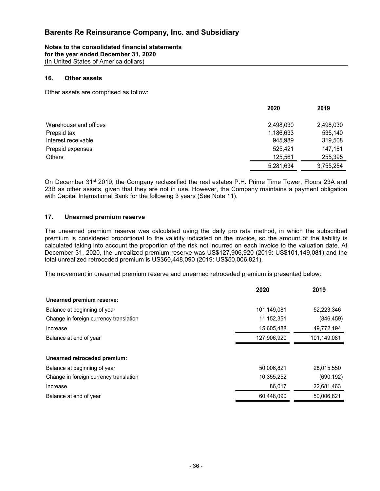#### **Notes to the consolidated financial statements for the year ended December 31, 2020** (In United States of America dollars)

#### **16. Other assets**

Other assets are comprised as follow:

|                       | 2020      | 2019      |
|-----------------------|-----------|-----------|
| Warehouse and offices | 2,498,030 | 2,498,030 |
| Prepaid tax           | 1,186,633 | 535,140   |
| Interest receivable   | 945,989   | 319,508   |
| Prepaid expenses      | 525,421   | 147,181   |
| <b>Others</b>         | 125,561   | 255,395   |
|                       | 5,281,634 | 3,755,254 |

On December 31st 2019, the Company reclassified the real estates P.H. Prime Time Tower, Floors 23A and 23B as other assets, given that they are not in use. However, the Company maintains a payment obligation with Capital International Bank for the following 3 years (See Note 11).

#### **17. Unearned premium reserve**

The unearned premium reserve was calculated using the daily pro rata method, in which the subscribed premium is considered proportional to the validity indicated on the invoice, so the amount of the liability is calculated taking into account the proportion of the risk not incurred on each invoice to the valuation date. At December 31, 2020, the unrealized premium reserve was US\$127,906,920 (2019: US\$101,149,081) and the total unrealized retroceded premium is US\$60,448,090 (2019: US\$50,006,821).

The movement in unearned premium reserve and unearned retroceded premium is presented below:

|                                        | 2020        | 2019        |
|----------------------------------------|-------------|-------------|
| Unearned premium reserve:              |             |             |
| Balance at beginning of year           | 101,149,081 | 52,223,346  |
| Change in foreign currency translation | 11,152,351  | (846, 459)  |
| Increase                               | 15,605,488  | 49,772,194  |
| Balance at end of year                 | 127,906,920 | 101,149,081 |
| Unearned retroceded premium:           |             |             |
| Balance at beginning of year           | 50,006,821  | 28,015,550  |
| Change in foreign currency translation | 10,355,252  | (690, 192)  |
| Increase                               | 86,017      | 22,681,463  |
| Balance at end of year                 | 60,448,090  | 50,006,821  |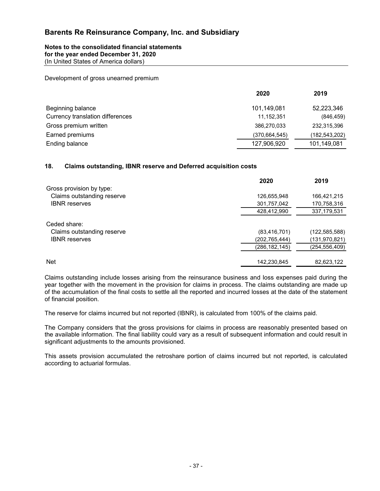#### **Notes to the consolidated financial statements for the year ended December 31, 2020**

(In United States of America dollars)

Development of gross unearned premium

|                                  | 2020          | 2019            |
|----------------------------------|---------------|-----------------|
| Beginning balance                | 101,149,081   | 52,223,346      |
| Currency translation differences | 11,152,351    | (846, 459)      |
| Gross premium written            | 386,270,033   | 232,315,396     |
| Earned premiums                  | (370,664,545) | (182, 543, 202) |
| Ending balance                   | 127,906,920   | 101,149,081     |

#### **18. Claims outstanding, IBNR reserve and Deferred acquisition costs**

|                            | 2020           | 2019            |
|----------------------------|----------------|-----------------|
| Gross provision by type:   |                |                 |
| Claims outstanding reserve | 126,655,948    | 166,421,215     |
| <b>IBNR</b> reserves       | 301,757,042    | 170,758,316     |
|                            | 428,412,990    | 337, 179, 531   |
| Ceded share:               |                |                 |
| Claims outstanding reserve | (83, 416, 701) | (122, 585, 588) |
| <b>IBNR</b> reserves       | (202,765,444)  | (131, 970, 821) |
|                            | (286,182,145)  | (254, 556, 409) |
|                            |                |                 |
| <b>Net</b>                 | 142,230,845    | 82,623,122      |

Claims outstanding include losses arising from the reinsurance business and loss expenses paid during the year together with the movement in the provision for claims in process. The claims outstanding are made up of the accumulation of the final costs to settle all the reported and incurred losses at the date of the statement of financial position.

The reserve for claims incurred but not reported (IBNR), is calculated from 100% of the claims paid.

The Company considers that the gross provisions for claims in process are reasonably presented based on the available information. The final liability could vary as a result of subsequent information and could result in significant adjustments to the amounts provisioned.

This assets provision accumulated the retroshare portion of claims incurred but not reported, is calculated according to actuarial formulas.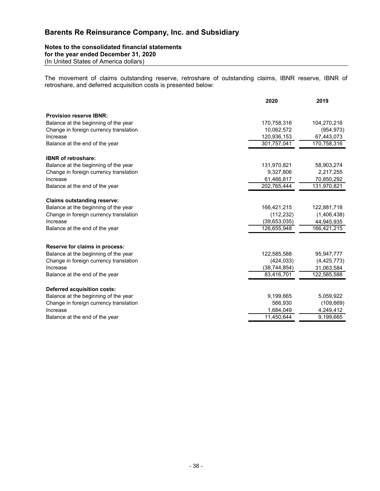#### **Notes to the consolidated financial statements for the year ended December 31, 2020**

(In United States of America dollars)

The movement of claims outstanding reserve, retroshare of outstanding claims, IBNR reserve, IBNR of retroshare, and deferred acquisition costs is presented below:

|                                        | 2020           | 2019        |
|----------------------------------------|----------------|-------------|
| <b>Provision reserve IBNR:</b>         |                |             |
| Balance at the beginning of the year   | 170,758,316    | 104,270,216 |
| Change in foreign currency translation | 10,062,572     | (954, 973)  |
| Increase                               | 120,936,153    | 67,443,073  |
| Balance at the end of the year         | 301,757,041    | 170,758,316 |
| <b>IBNR</b> of retroshare:             |                |             |
| Balance at the beginning of the year   | 131,970,821    | 58,903,274  |
| Change in foreign currency translation | 9,327,806      | 2,217,255   |
| Increase                               | 61,466,817     | 70,850,292  |
| Balance at the end of the year         | 202,765,444    | 131,970,821 |
| <b>Claims outstanding reserve:</b>     |                |             |
| Balance at the beginning of the year   | 166,421,215    | 122,881,718 |
| Change in foreign currency translation | (112, 232)     | (1,406,438) |
| Increase                               | (39,653,035)   | 44,945,935  |
| Balance at the end of the year         | 126,655,948    | 166,421,215 |
| Reserve for claims in process:         |                |             |
| Balance at the beginning of the year   | 122,585,588    | 95,947,777  |
| Change in foreign currency translation | (424, 033)     | (4,425,773) |
| Increase                               | (38, 744, 854) | 31,063,584  |
| Balance at the end of the year         | 83,416,701     | 122,585,588 |
| Deferred acquisition costs:            |                |             |
| Balance at the beginning of the year   | 9,199,665      | 5,059,922   |
| Change in foreign currency translation | 566,930        | (109, 669)  |
| Increase                               | 1,684,049      | 4,249,412   |
| Balance at the end of the year         | 11.450.644     | 9,199,665   |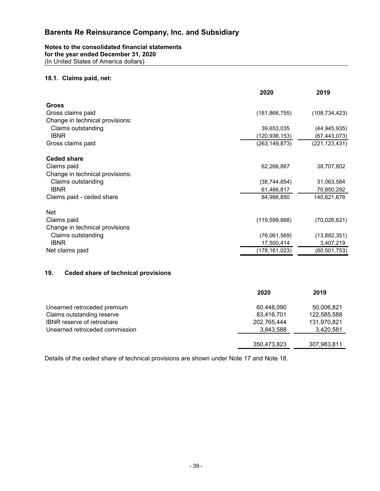#### **Notes to the consolidated financial statements for the year ended December 31, 2020** (In United States of America dollars)

#### **18.1. Claims paid, net:**

|                                 | 2020            | 2019            |
|---------------------------------|-----------------|-----------------|
| <b>Gross</b>                    |                 |                 |
| Gross claims paid               | (181, 866, 755) | (108, 734, 423) |
| Change in technical provisions: |                 |                 |
| Claims outstanding              | 39,653,035      | (44, 945, 935)  |
| <b>IBNR</b>                     | (120,936,153)   | (67, 443, 073)  |
| Gross claims paid               | (263, 149, 873) | (221, 123, 431) |
| <b>Ceded share</b>              |                 |                 |
| Claims paid                     | 62,266,887      | 38,707,802      |
| Change in technical provisions: |                 |                 |
| Claims outstanding              | (38, 744, 854)  | 31,063,584      |
| <b>IBNR</b>                     | 61,466,817      | 70,850,292      |
| Claims paid - ceded share       | 84,988,850      | 140,621,678     |
| <b>Net</b>                      |                 |                 |
| Claims paid                     | (119, 599, 868) | (70,026,621)    |
| Change in technical provisions  |                 |                 |
| Claims outstanding              | (76,061,569)    | (13,882,351)    |
| <b>IBNR</b>                     | 17,500,414      | 3,407,219       |
| Net claims paid                 | (178,161,023)   | (80, 501, 753)  |

### **19. Ceded share of technical provisions**

|                                   | 2020        | 2019        |
|-----------------------------------|-------------|-------------|
| Unearned retroceded premium       | 60,448,090  | 50,006,821  |
| Claims outstanding reserve        | 83.416.701  | 122,585,588 |
| <b>IBNR</b> reserve of retroshare | 202,765,444 | 131,970,821 |
| Unearned retroceded commission    | 3.843.588   | 3,420,581   |
|                                   | 350,473,823 | 307,983,811 |
|                                   |             |             |

Details of the ceded share of technical provisions are shown under Note 17 and Note 18.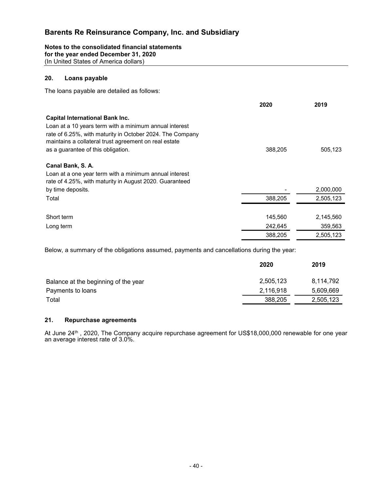## **Notes to the consolidated financial statements for the year ended December 31, 2020**

(In United States of America dollars)

#### **20. Loans payable**

The loans payable are detailed as follows:

|                                                           | 2020    | 2019      |
|-----------------------------------------------------------|---------|-----------|
| <b>Capital International Bank Inc.</b>                    |         |           |
| Loan at a 10 years term with a minimum annual interest    |         |           |
| rate of 6.25%, with maturity in October 2024. The Company |         |           |
| maintains a collateral trust agreement on real estate     |         |           |
| as a guarantee of this obligation.                        | 388,205 | 505,123   |
| Canal Bank, S.A.                                          |         |           |
| Loan at a one year term with a minimum annual interest    |         |           |
| rate of 4.25%, with maturity in August 2020. Guaranteed   |         |           |
| by time deposits.                                         |         | 2,000,000 |
| Total                                                     | 388,205 | 2,505,123 |
|                                                           |         |           |
| Short term                                                | 145,560 | 2,145,560 |
| Long term                                                 | 242,645 | 359,563   |
|                                                           | 388,205 | 2,505,123 |

Below, a summary of the obligations assumed, payments and cancellations during the year:

|                                      | 2020      | 2019      |
|--------------------------------------|-----------|-----------|
| Balance at the beginning of the year | 2,505,123 | 8,114,792 |
| Payments to loans                    | 2,116,918 | 5,609,669 |
| Total                                | 388,205   | 2,505,123 |

#### **21. Repurchase agreements**

At June 24<sup>th</sup>, 2020, The Company acquire repurchase agreement for US\$18,000,000 renewable for one year an average interest rate of 3.0%.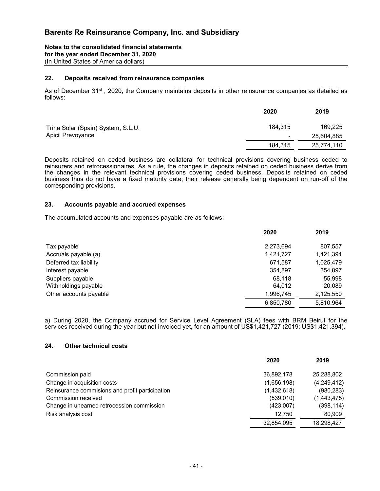**Notes to the consolidated financial statements for the year ended December 31, 2020** (In United States of America dollars)

#### **22. Deposits received from reinsurance companies**

As of December 31<sup>st</sup>, 2020, the Company maintains deposits in other reinsurance companies as detailed as follows:

|                                    | 2020    | 2019       |
|------------------------------------|---------|------------|
| Trina Solar (Spain) System, S.L.U. | 184.315 | 169,225    |
| Apicil Prevoyance                  | ٠       | 25,604,885 |
|                                    | 184,315 | 25,774,110 |

Deposits retained on ceded business are collateral for technical provisions covering business ceded to reinsurers and retrocessionaires. As a rule, the changes in deposits retained on ceded business derive from the changes in the relevant technical provisions covering ceded business. Deposits retained on ceded business thus do not have a fixed maturity date, their release generally being dependent on run-off of the corresponding provisions.

#### **23. Accounts payable and accrued expenses**

The accumulated accounts and expenses payable are as follows:

|                        | 2020      | 2019      |
|------------------------|-----------|-----------|
| Tax payable            | 2,273,694 | 807,557   |
| Accruals payable (a)   | 1,421,727 | 1,421,394 |
| Deferred tax liability | 671,587   | 1,025,479 |
| Interest payable       | 354,897   | 354,897   |
| Suppliers payable      | 68.118    | 55,998    |
| Withholdings payable   | 64,012    | 20,089    |
| Other accounts payable | 1,996,745 | 2,125,550 |
|                        | 6,850,780 | 5,810,964 |

a) During 2020, the Company accrued for Service Level Agreement (SLA) fees with BRM Beirut for the services received during the year but not invoiced yet, for an amount of US\$1,421,727 (2019: US\$1,421,394).

#### **24. Other technical costs**

|                                                 | 2020        | 2019        |
|-------------------------------------------------|-------------|-------------|
| Commission paid                                 | 36,892,178  | 25,288,802  |
| Change in acquisition costs                     | (1,656,198) | (4,249,412) |
| Reinsurance commisions and profit participation | (1,432,618) | (980, 283)  |
| Commission received                             | (539,010)   | (1,443,475) |
| Change in unearned retrocession commission      | (423,007)   | (398, 114)  |
| Risk analysis cost                              | 12,750      | 80,909      |
|                                                 | 32,854,095  | 18,298,427  |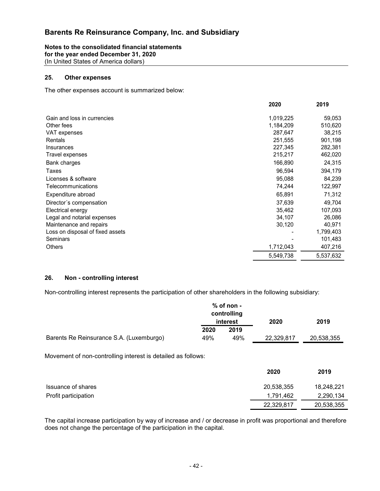#### **Notes to the consolidated financial statements for the year ended December 31, 2020** (In United States of America dollars)

#### **25. Other expenses**

The other expenses account is summarized below:

|                                  | 2020      | 2019      |
|----------------------------------|-----------|-----------|
| Gain and loss in currencies      | 1,019,225 | 59,053    |
| Other fees                       | 1,184,209 | 510,620   |
| VAT expenses                     | 287,647   | 38,215    |
| Rentals                          | 251,555   | 901,198   |
| Insurances                       | 227,345   | 282,381   |
| Travel expenses                  | 215,217   | 462,020   |
| Bank charges                     | 166,890   | 24,315    |
| Taxes                            | 96,594    | 394,179   |
| Licenses & software              | 95,088    | 84,239    |
| Telecommunications               | 74,244    | 122,997   |
| Expenditure abroad               | 65,891    | 71,312    |
| Director's compensation          | 37,639    | 49,704    |
| Electrical energy                | 35,462    | 107,093   |
| Legal and notarial expenses      | 34,107    | 26,086    |
| Maintenance and repairs          | 30,120    | 40,971    |
| Loss on disposal of fixed assets |           | 1,799,403 |
| <b>Seminars</b>                  |           | 101,483   |
| <b>Others</b>                    | 1,712,043 | 407,216   |
|                                  | 5,549,738 | 5,537,632 |

#### **26. Non - controlling interest**

Non-controlling interest represents the participation of other shareholders in the following subsidiary:

|                                                              |      | $%$ of non -<br>controlling<br>interest | 2020       | 2019       |
|--------------------------------------------------------------|------|-----------------------------------------|------------|------------|
|                                                              | 2020 | 2019                                    |            |            |
| Barents Re Reinsurance S.A. (Luxemburgo)                     | 49%  | 49%                                     | 22,329,817 | 20,538,355 |
| Movement of non-controlling interest is detailed as follows: |      |                                         | 2020       | 2019       |
| Issuance of shares                                           |      |                                         | 20,538,355 | 18,248,221 |
| Profit participation                                         |      |                                         | 1,791,462  | 2,290,134  |
|                                                              |      |                                         | 22,329,817 | 20,538,355 |

The capital increase participation by way of increase and / or decrease in profit was proportional and therefore does not change the percentage of the participation in the capital.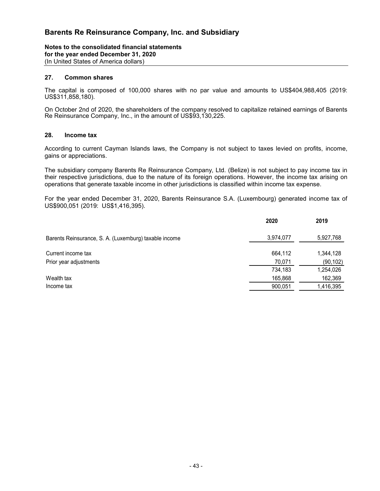#### **Notes to the consolidated financial statements for the year ended December 31, 2020** (In United States of America dollars)

#### **27. Common shares**

The capital is composed of 100,000 shares with no par value and amounts to US\$404,988,405 (2019: US\$311,858,180).

On October 2nd of 2020, the shareholders of the company resolved to capitalize retained earnings of Barents Re Reinsurance Company, Inc., in the amount of US\$93,130,225.

#### **28. Income tax**

According to current Cayman Islands laws, the Company is not subject to taxes levied on profits, income, gains or appreciations.

The subsidiary company Barents Re Reinsurance Company, Ltd. (Belize) is not subject to pay income tax in their respective jurisdictions, due to the nature of its foreign operations. However, the income tax arising on operations that generate taxable income in other jurisdictions is classified within income tax expense.

For the year ended December 31, 2020, Barents Reinsurance S.A. (Luxembourg) generated income tax of US\$900,051 (2019: US\$1,416,395).

|                                                       | 2020      | 2019      |
|-------------------------------------------------------|-----------|-----------|
| Barents Reinsurance, S. A. (Luxemburg) taxable income | 3,974,077 | 5,927,768 |
| Current income tax                                    | 664.112   | 1,344,128 |
| Prior year adjustments                                | 70,071    | (90, 102) |
|                                                       | 734,183   | 1,254,026 |
| Wealth tax                                            | 165,868   | 162,369   |
| Income tax                                            | 900,051   | 1,416,395 |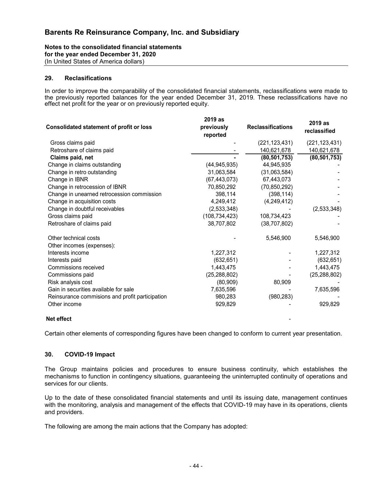#### **Notes to the consolidated financial statements for the year ended December 31, 2020** (In United States of America dollars)

#### **29. Reclasifications**

In order to improve the comparability of the consolidated financial statements, reclassifications were made to the previously reported balances for the year ended December 31, 2019. These reclassifications have no effect net profit for the year or on previously reported equity.

| <b>Consolidated statement of profit or loss</b> | 2019 as<br>previously<br>reported | <b>Reclassifications</b> | 2019as<br>reclassified |
|-------------------------------------------------|-----------------------------------|--------------------------|------------------------|
| Gross claims paid                               |                                   | (221, 123, 431)          | (221, 123, 431)        |
| Retroshare of claims paid                       |                                   | 140,621,678              | 140,621,678            |
| Claims paid, net                                |                                   | (80, 501, 753)           | (80, 501, 753)         |
| Change in claims outstanding                    | (44, 945, 935)                    | 44,945,935               |                        |
| Change in retro outstanding                     | 31,063,584                        | (31,063,584)             |                        |
| Change in IBNR                                  | (67, 443, 073)                    | 67,443,073               |                        |
| Change in retrocession of IBNR                  | 70,850,292                        | (70, 850, 292)           |                        |
| Change in unearned retrocession commission      | 398,114                           | (398, 114)               |                        |
| Change in acquisition costs                     | 4,249,412                         | (4,249,412)              |                        |
| Change in doubtful receivables                  | (2,533,348)                       |                          | (2,533,348)            |
| Gross claims paid                               | (108, 734, 423)                   | 108,734,423              |                        |
| Retroshare of claims paid                       | 38,707,802                        | (38, 707, 802)           |                        |
| Other technical costs                           |                                   | 5,546,900                | 5,546,900              |
| Other incomes (expenses):                       |                                   |                          |                        |
| Interests income                                | 1,227,312                         |                          | 1,227,312              |
| Interests paid                                  | (632, 651)                        |                          | (632, 651)             |
| Commissions received                            | 1,443,475                         |                          | 1,443,475              |
| Commissions paid                                | (25, 288, 802)                    |                          | (25, 288, 802)         |
| Risk analysis cost                              | (80, 909)                         | 80,909                   |                        |
| Gain in securities available for sale           | 7,635,596                         |                          | 7,635,596              |
| Reinsurance commisions and profit participation | 980,283                           | (980, 283)               |                        |
| Other income                                    | 929,829                           |                          | 929,829                |

#### **Net effect** -

Certain other elements of corresponding figures have been changed to conform to current year presentation.

#### **30. COVID-19 Impact**

The Group maintains policies and procedures to ensure business continuity, which establishes the mechanisms to function in contingency situations, guaranteeing the uninterrupted continuity of operations and services for our clients.

Up to the date of these consolidated financial statements and until its issuing date, management continues with the monitoring, analysis and management of the effects that COVID-19 may have in its operations, clients and providers.

The following are among the main actions that the Company has adopted: